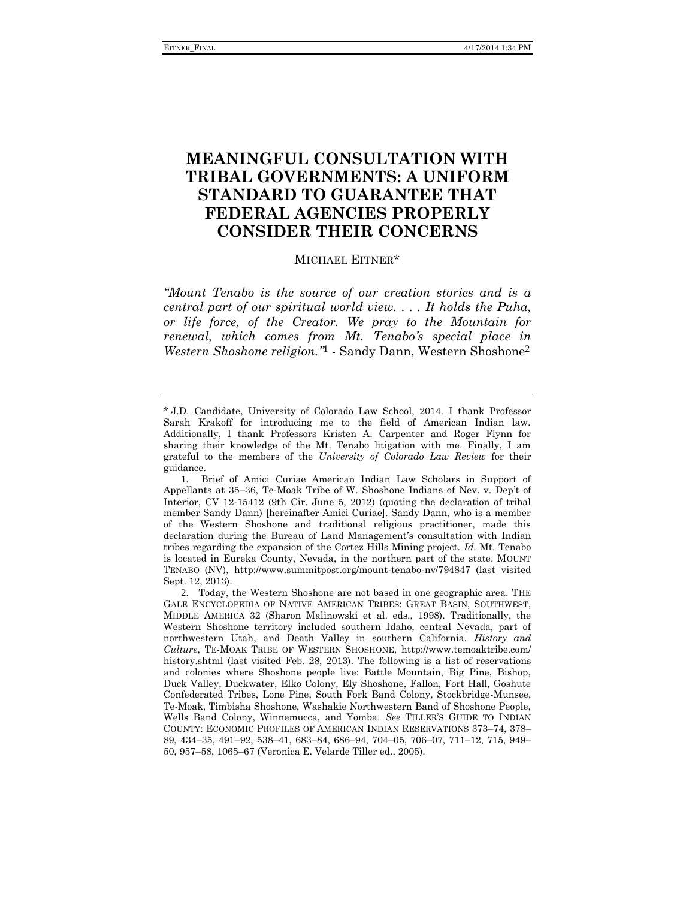# **MEANINGFUL CONSULTATION WITH TRIBAL GOVERNMENTS: A UNIFORM STANDARD TO GUARANTEE THAT FEDERAL AGENCIES PROPERLY CONSIDER THEIR CONCERNS**

### <span id="page-0-0"></span>MICHAEL EITNER\*

*"Mount Tenabo is the source of our creation stories and is a central part of our spiritual world view. . . . It holds the Puha, or life force, of the Creator. We pray to the Mountain for renewal, which comes from Mt. Tenabo's special place in Western Shoshone religion."* 1 - Sandy Dann, Western Shoshone2

<sup>\*</sup> J.D. Candidate, University of Colorado Law School, 2014. I thank Professor Sarah Krakoff for introducing me to the field of American Indian law. Additionally, I thank Professors Kristen A. Carpenter and Roger Flynn for sharing their knowledge of the Mt. Tenabo litigation with me. Finally, I am grateful to the members of the *University of Colorado Law Review* for their guidance.

<sup>1</sup>. Brief of Amici Curiae American Indian Law Scholars in Support of Appellants at 35–36, Te-Moak Tribe of W. Shoshone Indians of Nev. v. Dep't of Interior, CV 12-15412 (9th Cir. June 5, 2012) (quoting the declaration of tribal member Sandy Dann) [hereinafter Amici Curiae]. Sandy Dann, who is a member of the Western Shoshone and traditional religious practitioner, made this declaration during the Bureau of Land Management's consultation with Indian tribes regarding the expansion of the Cortez Hills Mining project. *Id.* Mt. Tenabo is located in Eureka County, Nevada, in the northern part of the state. MOUNT TENABO (NV), http://www.summitpost.org/mount-tenabo-nv/794847 (last visited Sept. 12, 2013).

<sup>2</sup>. Today, the Western Shoshone are not based in one geographic area. THE GALE ENCYCLOPEDIA OF NATIVE AMERICAN TRIBES: GREAT BASIN, SOUTHWEST, MIDDLE AMERICA 32 (Sharon Malinowski et al. eds., 1998). Traditionally, the Western Shoshone territory included southern Idaho, central Nevada, part of northwestern Utah, and Death Valley in southern California. *History and Culture*, TE-MOAK TRIBE OF WESTERN SHOSHONE, http://www.temoaktribe.com/ history.shtml (last visited Feb. 28, 2013). The following is a list of reservations and colonies where Shoshone people live: Battle Mountain, Big Pine, Bishop, Duck Valley, Duckwater, Elko Colony, Ely Shoshone, Fallon, Fort Hall, Goshute Confederated Tribes, Lone Pine, South Fork Band Colony, Stockbridge-Munsee, Te-Moak, Timbisha Shoshone, Washakie Northwestern Band of Shoshone People, Wells Band Colony, Winnemucca, and Yomba. *See* TILLER'S GUIDE TO INDIAN COUNTY: ECONOMIC PROFILES OF AMERICAN INDIAN RESERVATIONS 373–74, 378– 89, 434–35, 491–92, 538–41, 683–84, 686–94, 704–05, 706–07, 711–12, 715, 949– 50, 957–58, 1065–67 (Veronica E. Velarde Tiller ed., 2005).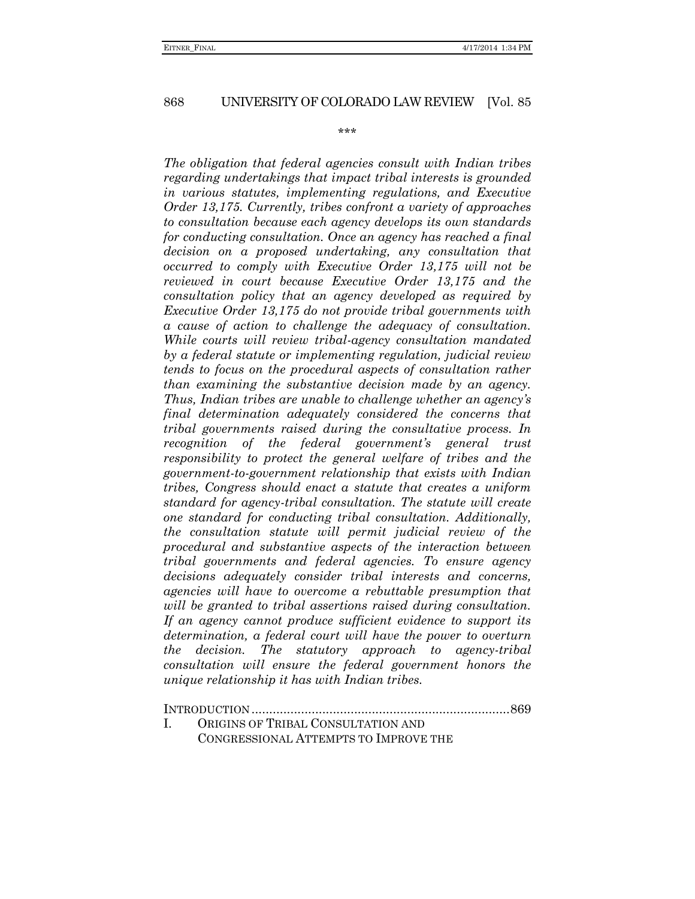\*\*\*

*The obligation that federal agencies consult with Indian tribes regarding undertakings that impact tribal interests is grounded in various statutes, implementing regulations, and Executive Order 13,175. Currently, tribes confront a variety of approaches to consultation because each agency develops its own standards for conducting consultation. Once an agency has reached a final decision on a proposed undertaking, any consultation that occurred to comply with Executive Order 13,175 will not be reviewed in court because Executive Order 13,175 and the consultation policy that an agency developed as required by Executive Order 13,175 do not provide tribal governments with a cause of action to challenge the adequacy of consultation. While courts will review tribal-agency consultation mandated by a federal statute or implementing regulation, judicial review tends to focus on the procedural aspects of consultation rather than examining the substantive decision made by an agency. Thus, Indian tribes are unable to challenge whether an agency's final determination adequately considered the concerns that tribal governments raised during the consultative process. In recognition of the federal government's general trust responsibility to protect the general welfare of tribes and the government-to-government relationship that exists with Indian tribes, Congress should enact a statute that creates a uniform standard for agency-tribal consultation. The statute will create one standard for conducting tribal consultation. Additionally, the consultation statute will permit judicial review of the procedural and substantive aspects of the interaction between tribal governments and federal agencies. To ensure agency decisions adequately consider tribal interests and concerns, agencies will have to overcome a rebuttable presumption that will be granted to tribal assertions raised during consultation. If an agency cannot produce sufficient evidence to support its determination, a federal court will have the power to overturn the decision. The statutory approach to agency-tribal consultation will ensure the federal government honors the unique relationship it has with Indian tribes.* 

| ORIGINS OF TRIBAL CONSULTATION AND                                                    |  |
|---------------------------------------------------------------------------------------|--|
| $\alpha$ as some monetaring $\lambda$ monetary second may $T_2$ seems assume monetary |  |

CONGRESSIONAL ATTEMPTS TO IMPROVE THE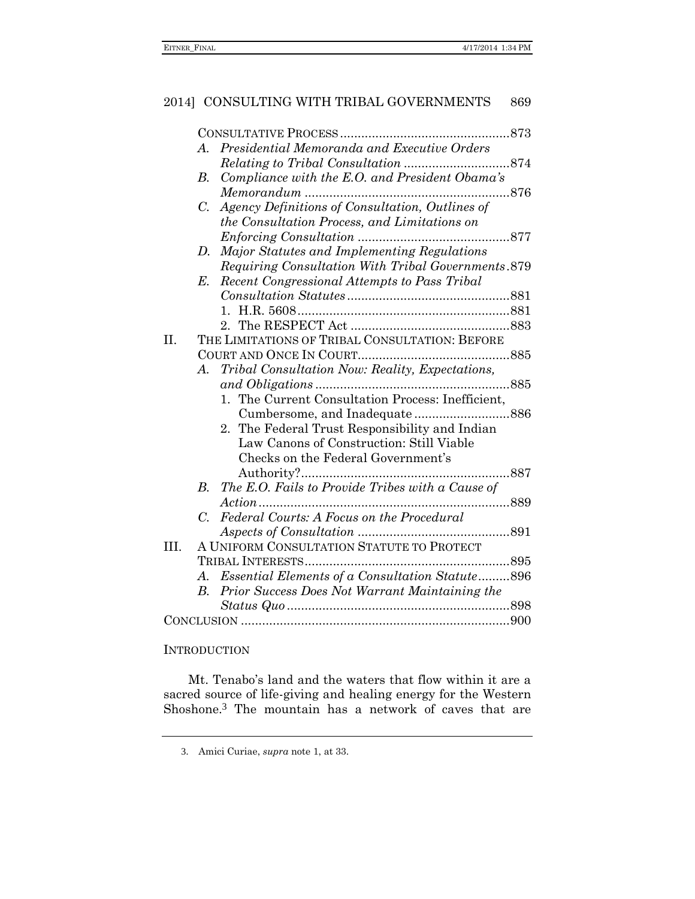|      | Presidential Memoranda and Executive Orders<br>A.             |  |
|------|---------------------------------------------------------------|--|
|      |                                                               |  |
|      | Compliance with the E.O. and President Obama's<br>В.          |  |
|      |                                                               |  |
|      | C. Agency Definitions of Consultation, Outlines of            |  |
|      | the Consultation Process, and Limitations on                  |  |
|      |                                                               |  |
|      | Major Statutes and Implementing Regulations<br>D.             |  |
|      | Requiring Consultation With Tribal Governments.879            |  |
|      | Recent Congressional Attempts to Pass Tribal<br>E.            |  |
|      |                                                               |  |
|      |                                                               |  |
|      |                                                               |  |
| Π.   | THE LIMITATIONS OF TRIBAL CONSULTATION: BEFORE                |  |
|      |                                                               |  |
|      | Tribal Consultation Now: Reality, Expectations,<br>A.         |  |
|      |                                                               |  |
|      | 1. The Current Consultation Process: Inefficient,             |  |
|      |                                                               |  |
|      | 2. The Federal Trust Responsibility and Indian                |  |
|      | Law Canons of Construction: Still Viable                      |  |
|      | Checks on the Federal Government's                            |  |
|      |                                                               |  |
|      | The E.O. Fails to Provide Tribes with a Cause of<br>B.        |  |
|      |                                                               |  |
|      | Federal Courts: A Focus on the Procedural<br>$C_{\cdot}$      |  |
|      |                                                               |  |
| III. | A UNIFORM CONSULTATION STATUTE TO PROTECT                     |  |
|      |                                                               |  |
|      | A. Essential Elements of a Consultation Statute896            |  |
|      | Prior Success Does Not Warrant Maintaining the<br>$B_{\cdot}$ |  |
|      |                                                               |  |
|      |                                                               |  |

### **INTRODUCTION**

Mt. Tenabo's land and the waters that flow within it are a sacred source of life-giving and healing energy for the Western Shoshone.3 The mountain has a network of caves that are

<sup>3</sup>. Amici Curiae, *supra* note [1,](#page-0-0) at 33.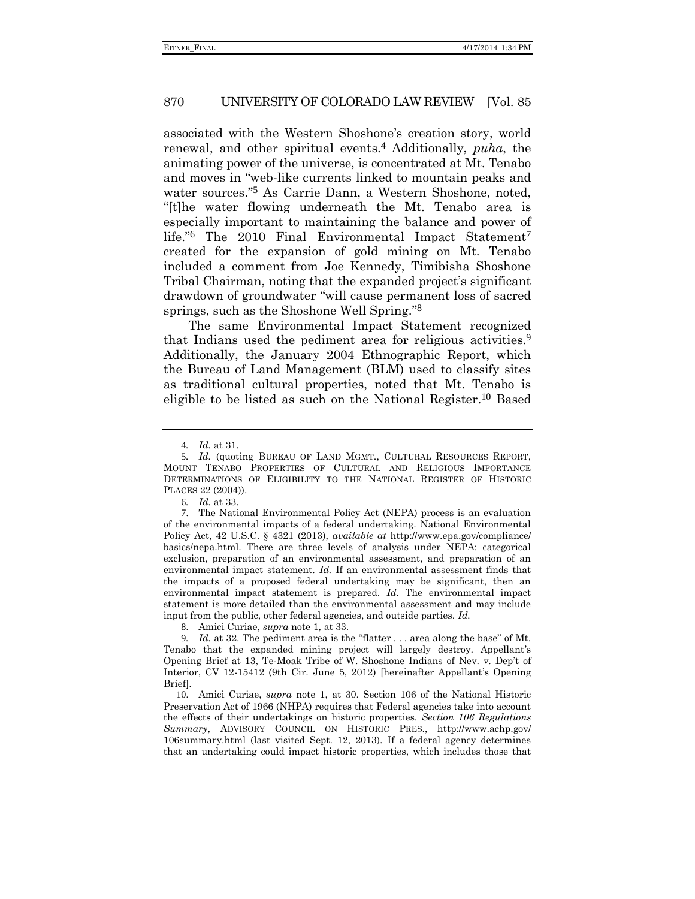associated with the Western Shoshone's creation story, world renewal, and other spiritual events.4 Additionally, *puha*, the animating power of the universe, is concentrated at Mt. Tenabo and moves in "web-like currents linked to mountain peaks and water sources." 5 As Carrie Dann, a Western Shoshone, noted, "[t]he water flowing underneath the Mt. Tenabo area is especially important to maintaining the balance and power of life."<sup>6</sup> The 2010 Final Environmental Impact Statement<sup>7</sup> created for the expansion of gold mining on Mt. Tenabo included a comment from Joe Kennedy, Timibisha Shoshone Tribal Chairman, noting that the expanded project's significant drawdown of groundwater "will cause permanent loss of sacred springs, such as the Shoshone Well Spring."<sup>8</sup>

The same Environmental Impact Statement recognized that Indians used the pediment area for religious activities.<sup>9</sup> Additionally, the January 2004 Ethnographic Report, which the Bureau of Land Management (BLM) used to classify sites as traditional cultural properties, noted that Mt. Tenabo is eligible to be listed as such on the National Register. 10 Based

8. Amici Curiae, *supra* note [1,](#page-0-0) at 33.

9*. Id.* at 32. The pediment area is the "flatter . . . area along the base" of Mt. Tenabo that the expanded mining project will largely destroy. Appellant's Opening Brief at 13, Te-Moak Tribe of W. Shoshone Indians of Nev. v. Dep't of Interior, CV 12-15412 (9th Cir. June 5, 2012) [hereinafter Appellant's Opening Brief].

10. Amici Curiae, *supra* note [1,](#page-0-0) at 30. Section 106 of the National Historic Preservation Act of 1966 (NHPA) requires that Federal agencies take into account the effects of their undertakings on historic properties. *Section 106 Regulations Summary*, ADVISORY COUNCIL ON HISTORIC PRES., http://www.achp.gov/ 106summary.html (last visited Sept. 12, 2013). If a federal agency determines that an undertaking could impact historic properties, which includes those that

<sup>4</sup>*. Id.* at 31.

<sup>5</sup>*. Id.* (quoting BUREAU OF LAND MGMT., CULTURAL RESOURCES REPORT, MOUNT TENABO PROPERTIES OF CULTURAL AND RELIGIOUS IMPORTANCE DETERMINATIONS OF ELIGIBILITY TO THE NATIONAL REGISTER OF HISTORIC PLACES 22 (2004)).

<sup>6</sup>*. Id.* at 33.

<sup>7</sup>. The National Environmental Policy Act (NEPA) process is an evaluation of the environmental impacts of a federal undertaking. National Environmental Policy Act, 42 U.S.C. § 4321 (2013), *available at* http://www.epa.gov/compliance/ basics/nepa.html. There are three levels of analysis under NEPA: categorical exclusion, preparation of an environmental assessment, and preparation of an environmental impact statement. *Id.* If an environmental assessment finds that the impacts of a proposed federal undertaking may be significant, then an environmental impact statement is prepared. *Id.* The environmental impact statement is more detailed than the environmental assessment and may include input from the public, other federal agencies, and outside parties. *Id.*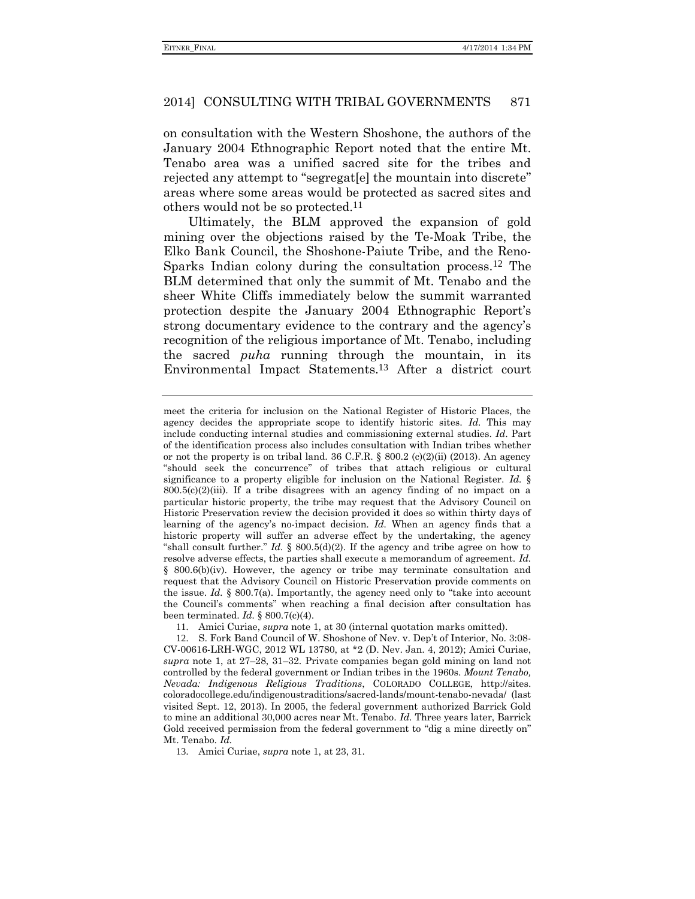on consultation with the Western Shoshone, the authors of the January 2004 Ethnographic Report noted that the entire Mt. Tenabo area was a unified sacred site for the tribes and rejected any attempt to "segregat[e] the mountain into discrete" areas where some areas would be protected as sacred sites and others would not be so protected.11

Ultimately, the BLM approved the expansion of gold mining over the objections raised by the Te-Moak Tribe, the Elko Bank Council, the Shoshone-Paiute Tribe, and the Reno-Sparks Indian colony during the consultation process.12 The BLM determined that only the summit of Mt. Tenabo and the sheer White Cliffs immediately below the summit warranted protection despite the January 2004 Ethnographic Report's strong documentary evidence to the contrary and the agency's recognition of the religious importance of Mt. Tenabo, including the sacred *puha* running through the mountain, in its Environmental Impact Statements.13 After a district court

meet the criteria for inclusion on the National Register of Historic Places, the agency decides the appropriate scope to identify historic sites. *Id.* This may include conducting internal studies and commissioning external studies. *Id*. Part of the identification process also includes consultation with Indian tribes whether or not the property is on tribal land.  $36 \text{ C.F.R.}$  §  $800.2 \text{ (c)}(2)$ (ii) (2013). An agency "should seek the concurrence" of tribes that attach religious or cultural significance to a property eligible for inclusion on the National Register. *Id.* §  $800.5(c)(2)(iii)$ . If a tribe disagrees with an agency finding of no impact on a particular historic property, the tribe may request that the Advisory Council on Historic Preservation review the decision provided it does so within thirty days of learning of the agency's no-impact decision. *Id.* When an agency finds that a historic property will suffer an adverse effect by the undertaking, the agency "shall consult further." *Id.*  $\S$  800.5(d)(2). If the agency and tribe agree on how to resolve adverse effects, the parties shall execute a memorandum of agreement. *Id.* § 800.6(b)(iv). However, the agency or tribe may terminate consultation and request that the Advisory Council on Historic Preservation provide comments on the issue. *Id.*  $\S$  800.7(a). Importantly, the agency need only to "take into account the Council's comments" when reaching a final decision after consultation has been terminated. *Id.* § 800.7(c)(4).

11. Amici Curiae, *supra* note [1,](#page-0-0) at 30 (internal quotation marks omitted).

12. S. Fork Band Council of W. Shoshone of Nev. v. Dep't of Interior, No. 3:08- CV-00616-LRH-WGC, 2012 WL 13780, at \*2 (D. Nev. Jan. 4, 2012); Amici Curiae, *supra* note [1,](#page-0-0) at 27–28, 31–32. Private companies began gold mining on land not controlled by the federal government or Indian tribes in the 1960s. *Mount Tenabo, Nevada: Indigenous Religious Traditions*, COLORADO COLLEGE, http://sites. coloradocollege.edu/indigenoustraditions/sacred-lands/mount-tenabo-nevada/ (last visited Sept. 12, 2013). In 2005, the federal government authorized Barrick Gold to mine an additional 30,000 acres near Mt. Tenabo. *Id.* Three years later, Barrick Gold received permission from the federal government to "dig a mine directly on" Mt. Tenabo. *Id.*

13. Amici Curiae, *supra* note [1,](#page-0-0) at 23, 31.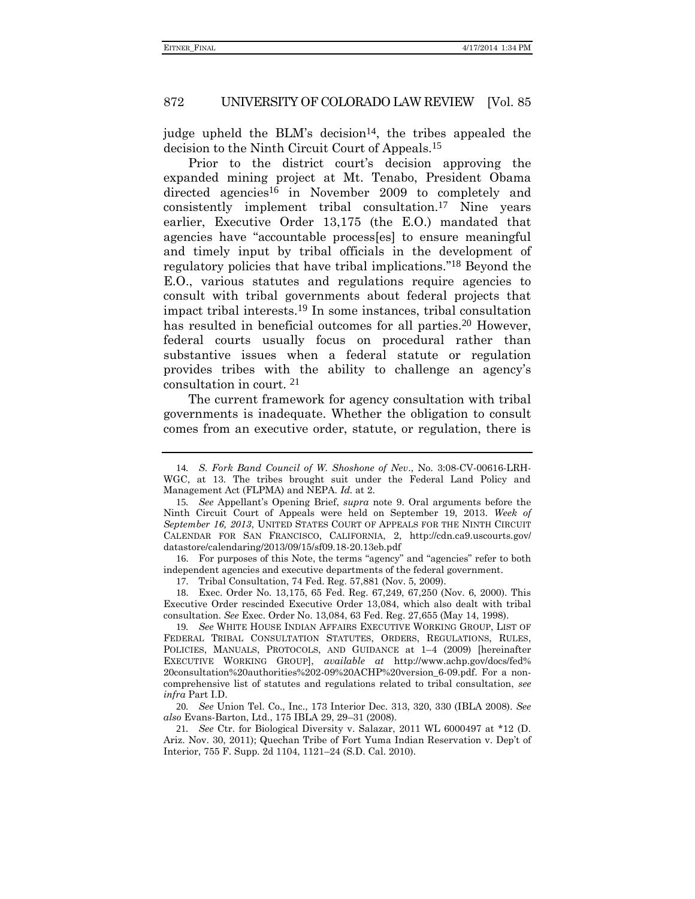judge upheld the BLM's decision<sup>14</sup>, the tribes appealed the decision to the Ninth Circuit Court of Appeals.15

Prior to the district court's decision approving the expanded mining project at Mt. Tenabo, President Obama directed agencies<sup>16</sup> in November 2009 to completely and consistently implement tribal consultation.17 Nine years earlier, Executive Order 13,175 (the E.O.) mandated that agencies have "accountable process[es] to ensure meaningful and timely input by tribal officials in the development of regulatory policies that have tribal implications." 18 Beyond the E.O., various statutes and regulations require agencies to consult with tribal governments about federal projects that impact tribal interests.19 In some instances, tribal consultation has resulted in beneficial outcomes for all parties.<sup>20</sup> However, federal courts usually focus on procedural rather than substantive issues when a federal statute or regulation provides tribes with the ability to challenge an agency's consultation in court. 21

<span id="page-5-1"></span><span id="page-5-0"></span>The current framework for agency consultation with tribal governments is inadequate. Whether the obligation to consult comes from an executive order, statute, or regulation, there is

16. For purposes of this Note, the terms "agency" and "agencies" refer to both independent agencies and executive departments of the federal government.

17. Tribal Consultation, 74 Fed. Reg. 57,881 (Nov. 5, 2009).

18. Exec. Order No. 13,175, 65 Fed. Reg. 67,249, 67,250 (Nov. 6, 2000). This Executive Order rescinded Executive Order 13,084, which also dealt with tribal consultation. *See* Exec. Order No. 13,084, 63 Fed. Reg. 27,655 (May 14, 1998).

19*. See* WHITE HOUSE INDIAN AFFAIRS EXECUTIVE WORKING GROUP, LIST OF FEDERAL TRIBAL CONSULTATION STATUTES, ORDERS, REGULATIONS, RULES, POLICIES, MANUALS, PROTOCOLS, AND GUIDANCE at 1–4 (2009) [hereinafter EXECUTIVE WORKING GROUP], *available at* http://www.achp.gov/docs/fed% 20consultation%20authorities%202-09%20ACHP%20version\_6-09.pdf. For a noncomprehensive list of statutes and regulations related to tribal consultation, *see infra* Part I.D.

20*. See* Union Tel. Co., Inc., 173 Interior Dec. 313, 320, 330 (IBLA 2008). *See also* Evans-Barton, Ltd., 175 IBLA 29, 29–31 (2008).

21*. See* Ctr. for Biological Diversity v. Salazar, 2011 WL 6000497 at \*12 (D. Ariz. Nov. 30, 2011); Quechan Tribe of Fort Yuma Indian Reservation v. Dep't of Interior, 755 F. Supp. 2d 1104, 1121–24 (S.D. Cal. 2010).

<sup>14</sup>*. S. Fork Band Council of W. Shoshone of Nev*., No. 3:08-CV-00616-LRH-WGC, at 13. The tribes brought suit under the Federal Land Policy and Management Act (FLPMA) and NEPA. *Id.* at 2.

<sup>15</sup>*. See* Appellant's Opening Brief, *supra* note 9. Oral arguments before the Ninth Circuit Court of Appeals were held on September 19, 2013. *Week of September 16, 2013*, UNITED STATES COURT OF APPEALS FOR THE NINTH CIRCUIT CALENDAR FOR SAN FRANCISCO, CALIFORNIA, 2, http://cdn.ca9.uscourts.gov/ datastore/calendaring/2013/09/15/sf09.18-20.13eb.pdf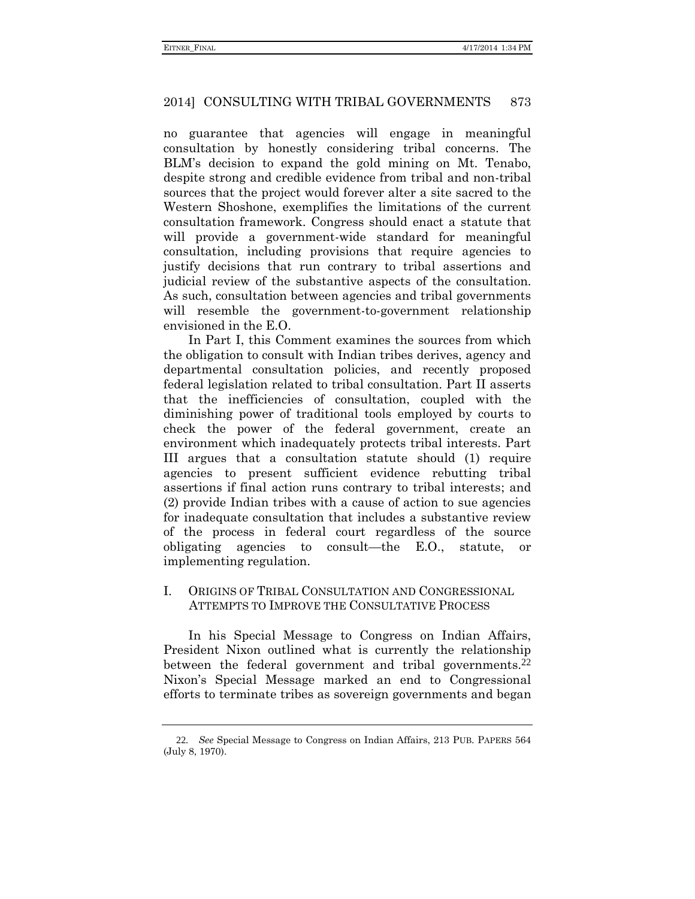no guarantee that agencies will engage in meaningful consultation by honestly considering tribal concerns. The BLM's decision to expand the gold mining on Mt. Tenabo, despite strong and credible evidence from tribal and non-tribal sources that the project would forever alter a site sacred to the Western Shoshone, exemplifies the limitations of the current consultation framework. Congress should enact a statute that will provide a government-wide standard for meaningful consultation, including provisions that require agencies to justify decisions that run contrary to tribal assertions and judicial review of the substantive aspects of the consultation. As such, consultation between agencies and tribal governments will resemble the government-to-government relationship envisioned in the E.O.

In Part I, this Comment examines the sources from which the obligation to consult with Indian tribes derives, agency and departmental consultation policies, and recently proposed federal legislation related to tribal consultation. Part II asserts that the inefficiencies of consultation, coupled with the diminishing power of traditional tools employed by courts to check the power of the federal government, create an environment which inadequately protects tribal interests. Part III argues that a consultation statute should (1) require agencies to present sufficient evidence rebutting tribal assertions if final action runs contrary to tribal interests; and (2) provide Indian tribes with a cause of action to sue agencies for inadequate consultation that includes a substantive review of the process in federal court regardless of the source obligating agencies to consult—the E.O., statute, or implementing regulation.

# I. ORIGINS OF TRIBAL CONSULTATION AND CONGRESSIONAL ATTEMPTS TO IMPROVE THE CONSULTATIVE PROCESS

In his Special Message to Congress on Indian Affairs, President Nixon outlined what is currently the relationship between the federal government and tribal governments.<sup>22</sup> Nixon's Special Message marked an end to Congressional efforts to terminate tribes as sovereign governments and began

<sup>22</sup>*. See* Special Message to Congress on Indian Affairs, 213 PUB. PAPERS 564 (July 8, 1970).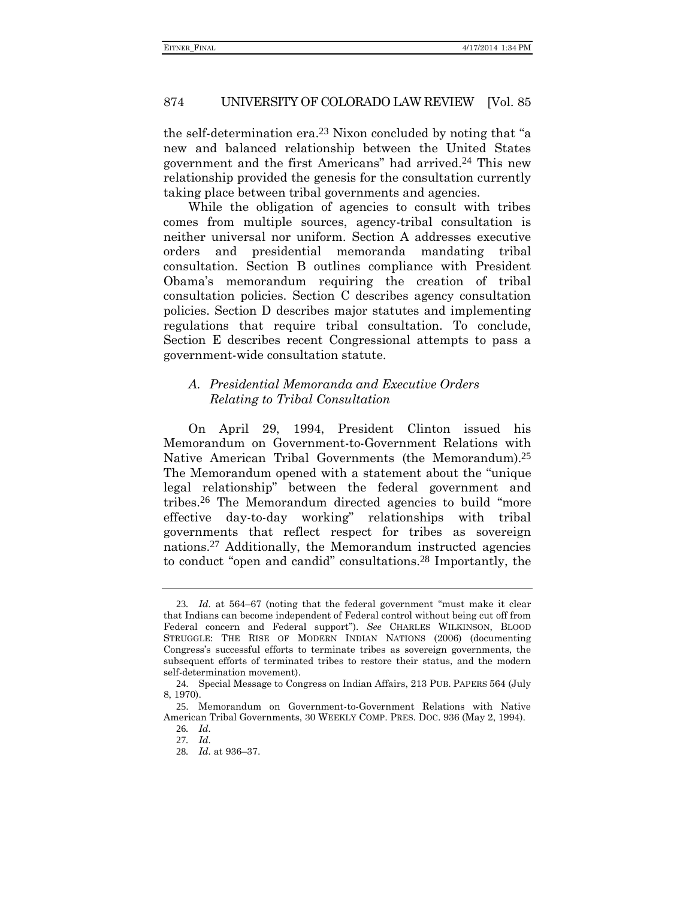the self-determination era.23 Nixon concluded by noting that "a new and balanced relationship between the United States government and the first Americans" had arrived.24 This new relationship provided the genesis for the consultation currently taking place between tribal governments and agencies.

While the obligation of agencies to consult with tribes comes from multiple sources, agency-tribal consultation is neither universal nor uniform. Section A addresses executive orders and presidential memoranda mandating tribal consultation. Section B outlines compliance with President Obama's memorandum requiring the creation of tribal consultation policies. Section C describes agency consultation policies. Section D describes major statutes and implementing regulations that require tribal consultation. To conclude, Section E describes recent Congressional attempts to pass a government-wide consultation statute.

# *A. Presidential Memoranda and Executive Orders Relating to Tribal Consultation*

On April 29, 1994, President Clinton issued his Memorandum on Government-to-Government Relations with Native American Tribal Governments (the Memorandum).<sup>25</sup> The Memorandum opened with a statement about the "unique legal relationship" between the federal government and tribes.26 The Memorandum directed agencies to build "more effective day-to-day working" relationships with tribal governments that reflect respect for tribes as sovereign nations.27 Additionally, the Memorandum instructed agencies to conduct "open and candid" consultations.28 Importantly, the

<sup>23</sup>*. Id.* at 564–67 (noting that the federal government "must make it clear that Indians can become independent of Federal control without being cut off from Federal concern and Federal support"). *See* CHARLES WILKINSON, BLOOD STRUGGLE: THE RISE OF MODERN INDIAN NATIONS (2006) (documenting Congress's successful efforts to terminate tribes as sovereign governments, the subsequent efforts of terminated tribes to restore their status, and the modern self-determination movement).

<sup>24</sup>. Special Message to Congress on Indian Affairs, 213 PUB. PAPERS 564 (July 8, 1970).

<sup>25</sup>. Memorandum on Government-to-Government Relations with Native American Tribal Governments, 30 WEEKLY COMP. PRES. DOC. 936 (May 2, 1994).

<sup>26</sup>*. Id.* 27*. Id.*

<sup>28</sup>*. Id.* at 936–37.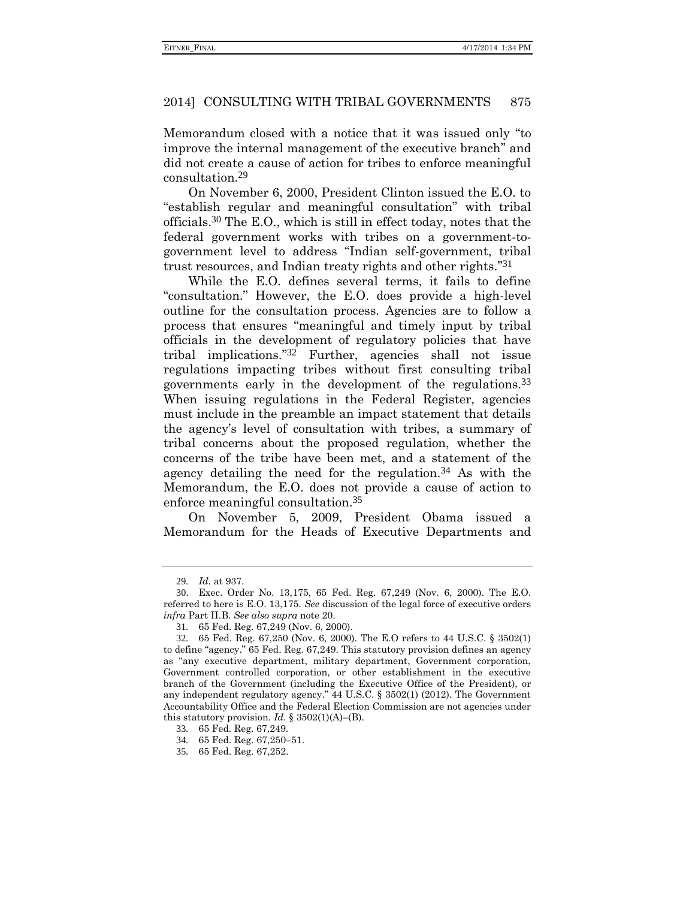Memorandum closed with a notice that it was issued only "to improve the internal management of the executive branch" and did not create a cause of action for tribes to enforce meaningful consultation.29

On November 6, 2000, President Clinton issued the E.O. to "establish regular and meaningful consultation" with tribal officials.30 The E.O., which is still in effect today, notes that the federal government works with tribes on a government-togovernment level to address "Indian self-government, tribal trust resources, and Indian treaty rights and other rights." 31

While the E.O. defines several terms, it fails to define "consultation." However, the E.O. does provide a high-level outline for the consultation process. Agencies are to follow a process that ensures "meaningful and timely input by tribal officials in the development of regulatory policies that have tribal implications." 32 Further, agencies shall not issue regulations impacting tribes without first consulting tribal governments early in the development of the regulations.33 When issuing regulations in the Federal Register, agencies must include in the preamble an impact statement that details the agency's level of consultation with tribes, a summary of tribal concerns about the proposed regulation, whether the concerns of the tribe have been met, and a statement of the agency detailing the need for the regulation.34 As with the Memorandum, the E.O. does not provide a cause of action to enforce meaningful consultation.35

On November 5, 2009, President Obama issued a Memorandum for the Heads of Executive Departments and

<sup>29</sup>*. Id.* at 937.

<sup>30</sup>. Exec. Order No. 13,175, 65 Fed. Reg. 67,249 (Nov. 6, 2000). The E.O. referred to here is E.O. 13,175. *See* discussion of the legal force of executive orders *infra* Part II.B. *See also supra* note [20.](#page-5-0)

<sup>31</sup>*.* 65 Fed. Reg. 67,249 (Nov. 6, 2000).

<sup>32</sup>*.* 65 Fed. Reg. 67,250 (Nov. 6, 2000). The E.O refers to 44 U.S.C. § 3502(1) to define "agency." 65 Fed. Reg. 67,249. This statutory provision defines an agency as "any executive department, military department, Government corporation, Government controlled corporation, or other establishment in the executive branch of the Government (including the Executive Office of the President), or any independent regulatory agency." 44 U.S.C. § 3502(1) (2012). The Government Accountability Office and the Federal Election Commission are not agencies under this statutory provision. *Id.*  $\S 3502(1)(A)$ –(B).

<sup>33</sup>*.* 65 Fed. Reg. 67,249.

<sup>34</sup>*.* 65 Fed. Reg. 67,250–51.

<sup>35</sup>*.* 65 Fed. Reg. 67,252.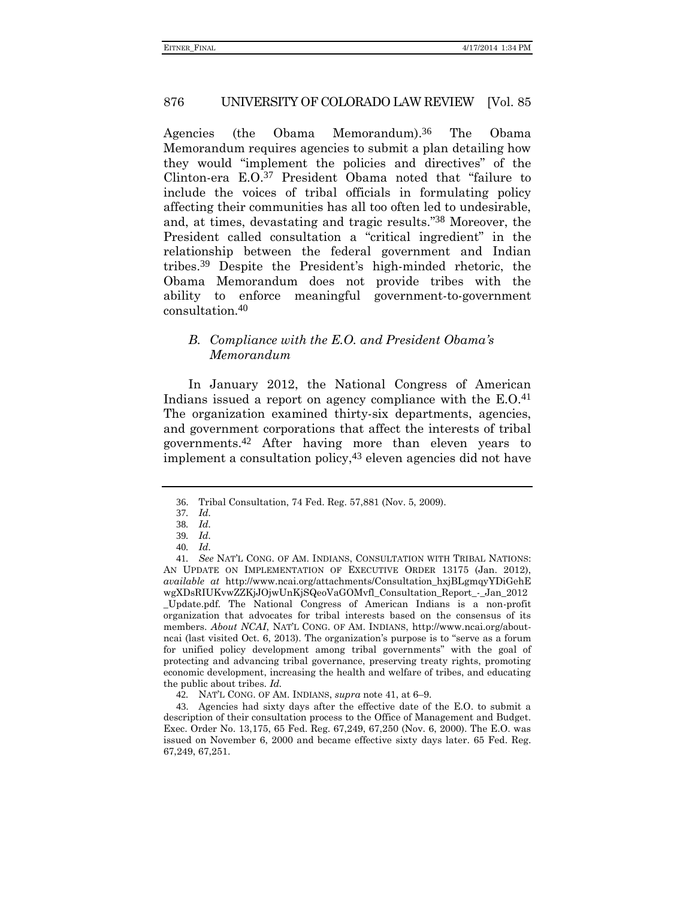Agencies (the Obama Memorandum). The Obama Memorandum requires agencies to submit a plan detailing how they would "implement the policies and directives" of the Clinton-era E.O.37 President Obama noted that "failure to include the voices of tribal officials in formulating policy affecting their communities has all too often led to undesirable, and, at times, devastating and tragic results." 38 Moreover, the President called consultation a "critical ingredient" in the relationship between the federal government and Indian tribes.39 Despite the President's high-minded rhetoric, the Obama Memorandum does not provide tribes with the ability to enforce meaningful government-to-government consultation.40

### <span id="page-9-0"></span>*B. Compliance with the E.O. and President Obama's Memorandum*

In January 2012, the National Congress of American Indians issued a report on agency compliance with the  $E.O.<sup>41</sup>$ The organization examined thirty-six departments, agencies, and government corporations that affect the interests of tribal governments.42 After having more than eleven years to implement a consultation policy,43 eleven agencies did not have

43. Agencies had sixty days after the effective date of the E.O. to submit a description of their consultation process to the Office of Management and Budget. Exec. Order No. 13,175, 65 Fed. Reg. 67,249, 67,250 (Nov. 6, 2000). The E.O. was issued on November 6, 2000 and became effective sixty days later. 65 Fed. Reg. 67,249, 67,251.

<sup>36</sup>. Tribal Consultation, 74 Fed. Reg. 57,881 (Nov. 5, 2009).

<sup>37</sup>*. Id.*

<sup>38</sup>*. Id.*

<sup>39</sup>*. Id.*

<sup>40</sup>*. Id.*

<sup>41</sup>*. See* NAT'L CONG. OF AM. INDIANS, CONSULTATION WITH TRIBAL NATIONS: AN UPDATE ON IMPLEMENTATION OF EXECUTIVE ORDER 13175 (Jan. 2012), *available at* http://www.ncai.org/attachments/Consultation\_hxjBLgmqyYDiGehE wgXDsRIUKvwZZKjJOjwUnKjSQeoVaGOMvfl\_Consultation\_Report\_-\_Jan\_2012 \_Update.pdf. The National Congress of American Indians is a non-profit organization that advocates for tribal interests based on the consensus of its members. *About NCAI*, NAT'L CONG. OF AM. INDIANS, http://www.ncai.org/aboutncai (last visited Oct. 6, 2013). The organization's purpose is to "serve as a forum for unified policy development among tribal governments" with the goal of protecting and advancing tribal governance, preserving treaty rights, promoting economic development, increasing the health and welfare of tribes, and educating the public about tribes. *Id.*

<sup>42</sup>*.* NAT'L CONG. OF AM. INDIANS, *supra* not[e 41,](#page-9-0) at 6–9.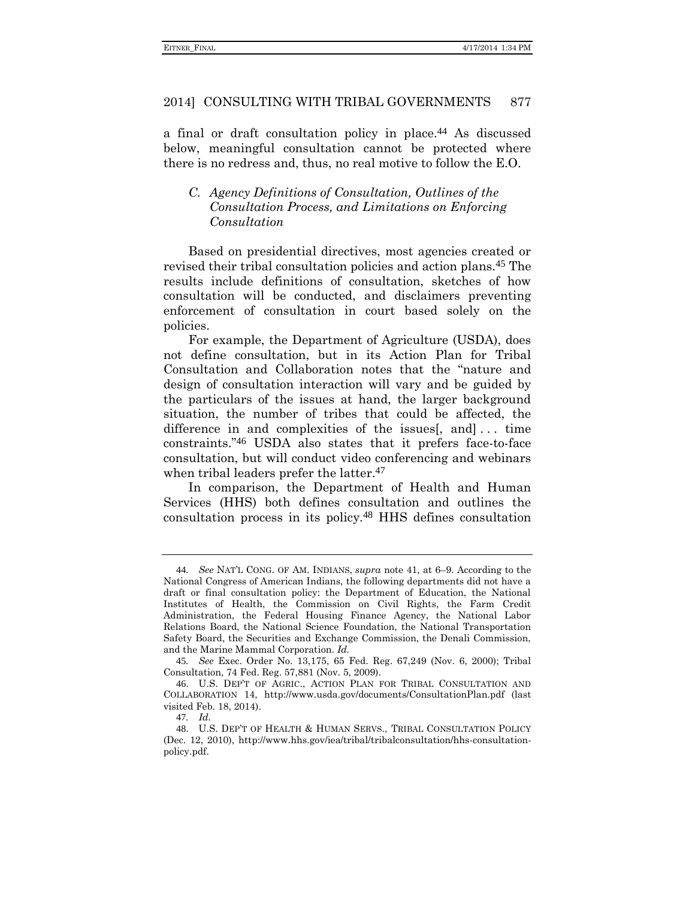a final or draft consultation policy in place.<sup>44</sup> As discussed below, meaningful consultation cannot be protected where there is no redress and, thus, no real motive to follow the E.O.

# *C. Agency Definitions of Consultation, Outlines of the Consultation Process, and Limitations on Enforcing Consultation*

Based on presidential directives, most agencies created or revised their tribal consultation policies and action plans.45 The results include definitions of consultation, sketches of how consultation will be conducted, and disclaimers preventing enforcement of consultation in court based solely on the policies.

For example, the Department of Agriculture (USDA), does not define consultation, but in its Action Plan for Tribal Consultation and Collaboration notes that the "nature and design of consultation interaction will vary and be guided by the particulars of the issues at hand, the larger background situation, the number of tribes that could be affected, the difference in and complexities of the issues[, and]... time constraints." 46 USDA also states that it prefers face-to-face consultation, but will conduct video conferencing and webinars when tribal leaders prefer the latter.<sup>47</sup>

In comparison, the Department of Health and Human Services (HHS) both defines consultation and outlines the consultation process in its policy.48 HHS defines consultation

<sup>44</sup>*. See* NAT'L CONG. OF AM. INDIANS, *supra* note [41,](#page-9-0) at 6–9. According to the National Congress of American Indians, the following departments did not have a draft or final consultation policy: the Department of Education, the National Institutes of Health, the Commission on Civil Rights, the Farm Credit Administration, the Federal Housing Finance Agency, the National Labor Relations Board, the National Science Foundation, the National Transportation Safety Board, the Securities and Exchange Commission, the Denali Commission, and the Marine Mammal Corporation. *Id.*

<sup>45</sup>*. See* Exec. Order No. 13,175, 65 Fed. Reg. 67,249 (Nov. 6, 2000); Tribal Consultation, 74 Fed. Reg. 57,881 (Nov. 5, 2009).

<sup>46</sup>. U.S. DEP'T OF AGRIC., ACTION PLAN FOR TRIBAL CONSULTATION AND COLLABORATION 14, http://www.usda.gov/documents/ConsultationPlan.pdf (last visited Feb. 18, 2014).

<sup>47</sup>*. Id.*

<sup>48</sup>. U.S. DEP'T OF HEALTH & HUMAN SERVS., TRIBAL CONSULTATION POLICY (Dec. 12, 2010), http://www.hhs.gov/iea/tribal/tribalconsultation/hhs-consultationpolicy.pdf.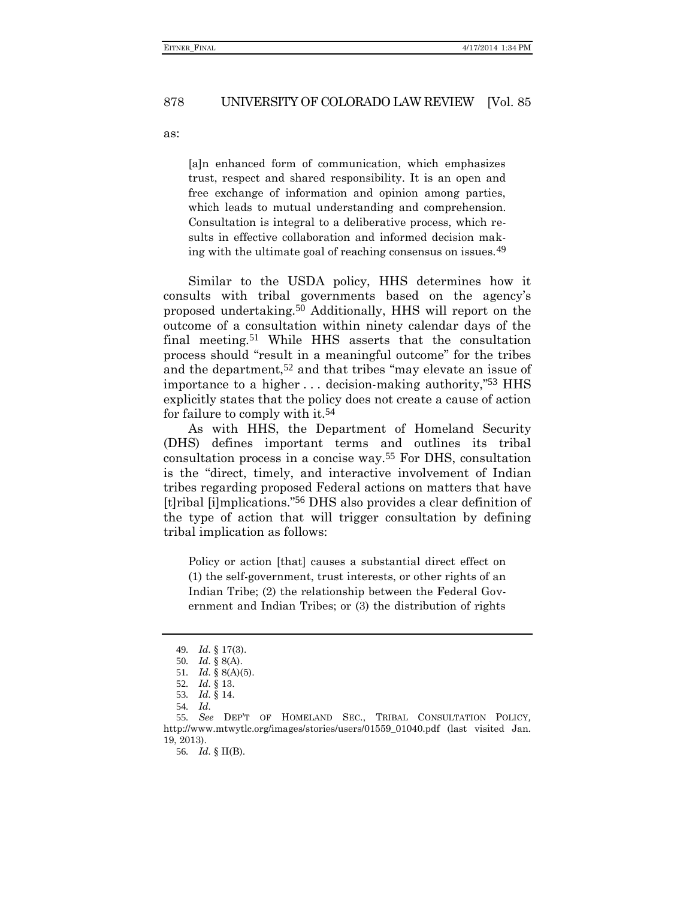as:

[a]n enhanced form of communication, which emphasizes trust, respect and shared responsibility. It is an open and free exchange of information and opinion among parties, which leads to mutual understanding and comprehension. Consultation is integral to a deliberative process, which results in effective collaboration and informed decision making with the ultimate goal of reaching consensus on issues.49

Similar to the USDA policy, HHS determines how it consults with tribal governments based on the agency's proposed undertaking.50 Additionally, HHS will report on the outcome of a consultation within ninety calendar days of the final meeting.51 While HHS asserts that the consultation process should "result in a meaningful outcome" for the tribes and the department,52 and that tribes "may elevate an issue of importance to a higher . . . decision-making authority," 53 HHS explicitly states that the policy does not create a cause of action for failure to comply with it.54

As with HHS, the Department of Homeland Security (DHS) defines important terms and outlines its tribal consultation process in a concise way.55 For DHS, consultation is the "direct, timely, and interactive involvement of Indian tribes regarding proposed Federal actions on matters that have [t]ribal [i]mplications." 56 DHS also provides a clear definition of the type of action that will trigger consultation by defining tribal implication as follows:

Policy or action [that] causes a substantial direct effect on (1) the self-government, trust interests, or other rights of an Indian Tribe; (2) the relationship between the Federal Government and Indian Tribes; or (3) the distribution of rights

56*. Id.* § II(B).

<sup>49</sup>*. Id.* § 17(3).

<sup>50</sup>*. Id.* § 8(A).

<sup>51</sup>*. Id.* § 8(A)(5).

<sup>52</sup>*. Id.* § 13.

<sup>53</sup>*. Id.* § 14.

<sup>54</sup>*. Id.*

<sup>55</sup>*. See* DEP'T OF HOMELAND SEC., TRIBAL CONSULTATION POLICY*,*  http://www.mtwytlc.org/images/stories/users/01559\_01040.pdf (last visited Jan. 19, 2013).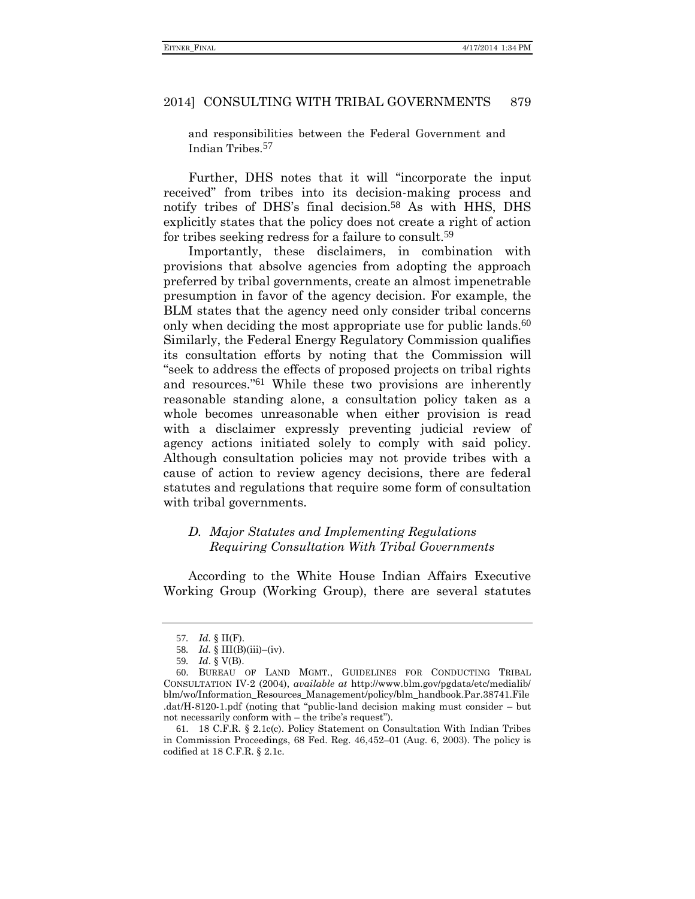and responsibilities between the Federal Government and Indian Tribes.57

Further, DHS notes that it will "incorporate the input received" from tribes into its decision-making process and notify tribes of DHS's final decision.58 As with HHS, DHS explicitly states that the policy does not create a right of action for tribes seeking redress for a failure to consult.59

Importantly, these disclaimers, in combination with provisions that absolve agencies from adopting the approach preferred by tribal governments, create an almost impenetrable presumption in favor of the agency decision. For example, the BLM states that the agency need only consider tribal concerns only when deciding the most appropriate use for public lands.<sup>60</sup> Similarly, the Federal Energy Regulatory Commission qualifies its consultation efforts by noting that the Commission will "seek to address the effects of proposed projects on tribal rights and resources." 61 While these two provisions are inherently reasonable standing alone, a consultation policy taken as a whole becomes unreasonable when either provision is read with a disclaimer expressly preventing judicial review of agency actions initiated solely to comply with said policy. Although consultation policies may not provide tribes with a cause of action to review agency decisions, there are federal statutes and regulations that require some form of consultation with tribal governments.

### *D. Major Statutes and Implementing Regulations Requiring Consultation With Tribal Governments*

According to the White House Indian Affairs Executive Working Group (Working Group), there are several statutes

<sup>57</sup>*. Id.* § II(F).

<sup>58</sup>*. Id.* § III(B)(iii)–(iv).

<sup>59</sup>*. Id*. § V(B).

<sup>60</sup>. BUREAU OF LAND MGMT., GUIDELINES FOR CONDUCTING TRIBAL CONSULTATION IV-2 (2004), *available at* http://www.blm.gov/pgdata/etc/medialib/ blm/wo/Information\_Resources\_Management/policy/blm\_handbook.Par.38741.File .dat/H-8120-1.pdf (noting that "public-land decision making must consider – but not necessarily conform with – the tribe's request").

<sup>61</sup>. 18 C.F.R. § 2.1c(c). Policy Statement on Consultation With Indian Tribes in Commission Proceedings, 68 Fed. Reg. 46,452–01 (Aug. 6, 2003). The policy is codified at 18 C.F.R. § 2.1c.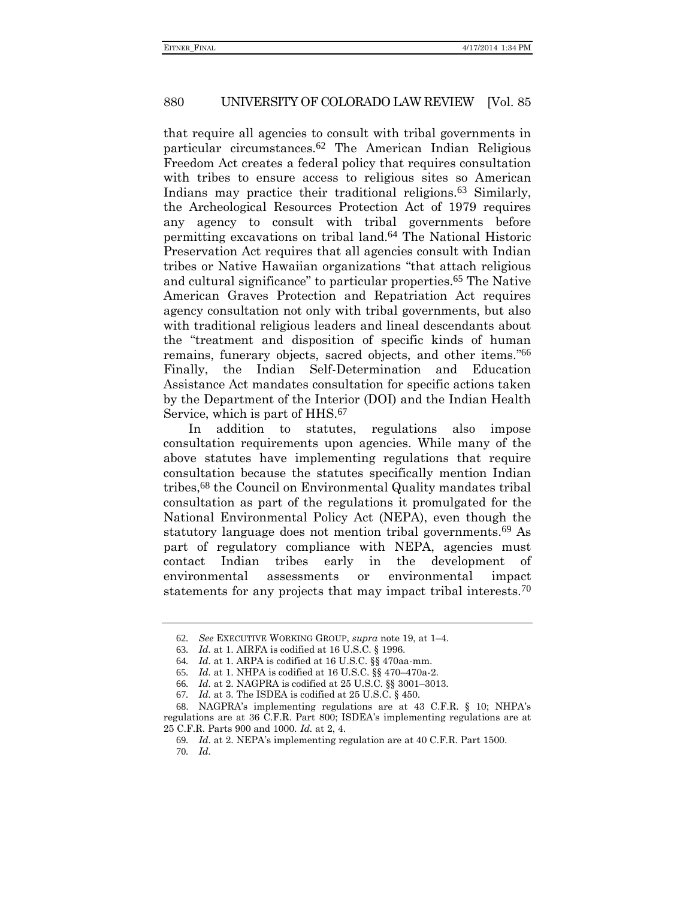that require all agencies to consult with tribal governments in particular circumstances.62 The American Indian Religious Freedom Act creates a federal policy that requires consultation with tribes to ensure access to religious sites so American Indians may practice their traditional religions.<sup>63</sup> Similarly, the Archeological Resources Protection Act of 1979 requires any agency to consult with tribal governments before permitting excavations on tribal land.64 The National Historic Preservation Act requires that all agencies consult with Indian tribes or Native Hawaiian organizations "that attach religious and cultural significance" to particular properties.65 The Native American Graves Protection and Repatriation Act requires agency consultation not only with tribal governments, but also with traditional religious leaders and lineal descendants about the "treatment and disposition of specific kinds of human remains, funerary objects, sacred objects, and other items." 66 Finally, the Indian Self-Determination and Education Assistance Act mandates consultation for specific actions taken by the Department of the Interior (DOI) and the Indian Health Service, which is part of HHS.<sup>67</sup>

In addition to statutes, regulations also impose consultation requirements upon agencies. While many of the above statutes have implementing regulations that require consultation because the statutes specifically mention Indian tribes,68 the Council on Environmental Quality mandates tribal consultation as part of the regulations it promulgated for the National Environmental Policy Act (NEPA), even though the statutory language does not mention tribal governments.69 As part of regulatory compliance with NEPA, agencies must contact Indian tribes early in the development of environmental assessments or environmental impact statements for any projects that may impact tribal interests.<sup>70</sup>

<sup>62</sup>*. See* EXECUTIVE WORKING GROUP, *supra* not[e 19,](#page-5-1) at 1–4.

<sup>63</sup>*. Id.* at 1. AIRFA is codified at 16 U.S.C. § 1996.

<sup>64</sup>*. Id.* at 1. ARPA is codified at 16 U.S.C. §§ 470aa-mm.

<sup>65</sup>*. Id.* at 1. NHPA is codified at 16 U.S.C. §§ 470–470a-2.

<sup>66</sup>*. Id.* at 2. NAGPRA is codified at 25 U.S.C. §§ 3001–3013.

<sup>67</sup>*. Id.* at 3. The ISDEA is codified at 25 U.S.C. § 450.

<sup>68</sup>. NAGPRA's implementing regulations are at 43 C.F.R. § 10; NHPA's regulations are at 36 C.F.R. Part 800; ISDEA's implementing regulations are at 25 C.F.R. Parts 900 and 1000. *Id.* at 2, 4.

<sup>69</sup>*. Id.* at 2. NEPA's implementing regulation are at 40 C.F.R. Part 1500. 70*. Id.*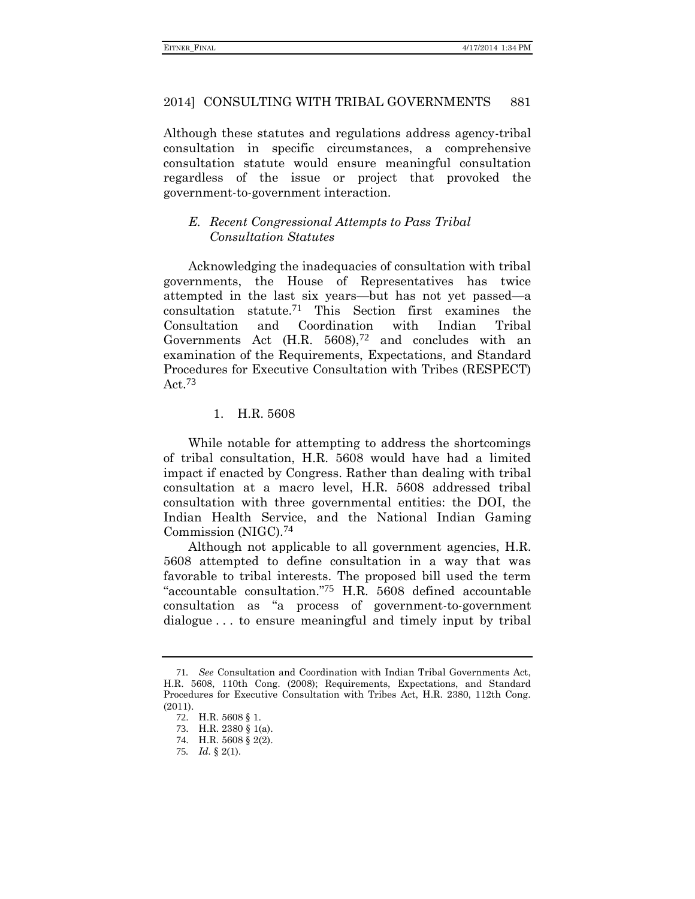Although these statutes and regulations address agency-tribal consultation in specific circumstances, a comprehensive consultation statute would ensure meaningful consultation regardless of the issue or project that provoked the government-to-government interaction.

### *E. Recent Congressional Attempts to Pass Tribal Consultation Statutes*

Acknowledging the inadequacies of consultation with tribal governments, the House of Representatives has twice attempted in the last six years—but has not yet passed—a consultation statute.71 This Section first examines the Consultation and Coordination with Indian Tribal Governments Act  $(H.R. 5608)$ , <sup>72</sup> and concludes with an examination of the Requirements, Expectations, and Standard Procedures for Executive Consultation with Tribes (RESPECT) Act.73

# 1. H.R. 5608

While notable for attempting to address the shortcomings of tribal consultation, H.R. 5608 would have had a limited impact if enacted by Congress. Rather than dealing with tribal consultation at a macro level, H.R. 5608 addressed tribal consultation with three governmental entities: the DOI, the Indian Health Service, and the National Indian Gaming Commission (NIGC).74

Although not applicable to all government agencies, H.R. 5608 attempted to define consultation in a way that was favorable to tribal interests. The proposed bill used the term "accountable consultation." 75 H.R. 5608 defined accountable consultation as "a process of government-to-government dialogue . . . to ensure meaningful and timely input by tribal

<sup>71</sup>*. See* Consultation and Coordination with Indian Tribal Governments Act, H.R. 5608, 110th Cong. (2008); Requirements, Expectations, and Standard Procedures for Executive Consultation with Tribes Act, H.R. 2380, 112th Cong. (2011).

<sup>72</sup>. H.R. 5608 § 1.

<sup>73</sup>. H.R. 2380 § 1(a).

<sup>74</sup>. H.R. 5608 § 2(2).

<sup>75</sup>*. Id.* § 2(1).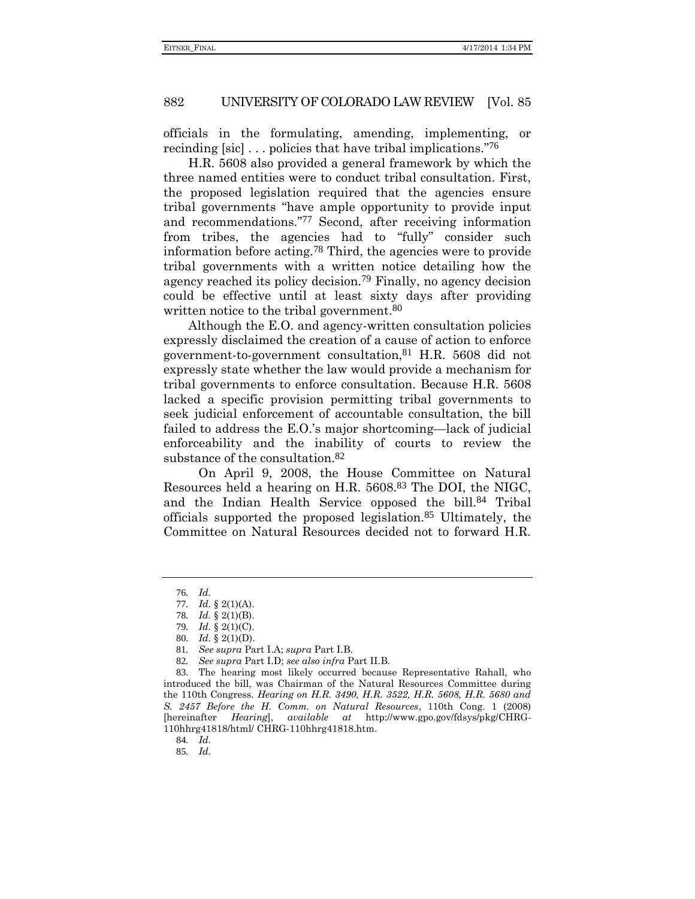officials in the formulating, amending, implementing, or recinding [sic] . . . policies that have tribal implications." 76

H.R. 5608 also provided a general framework by which the three named entities were to conduct tribal consultation. First, the proposed legislation required that the agencies ensure tribal governments "have ample opportunity to provide input and recommendations." 77 Second, after receiving information from tribes, the agencies had to "fully" consider such information before acting.78 Third, the agencies were to provide tribal governments with a written notice detailing how the agency reached its policy decision.79 Finally, no agency decision could be effective until at least sixty days after providing written notice to the tribal government.<sup>80</sup>

Although the E.O. and agency-written consultation policies expressly disclaimed the creation of a cause of action to enforce government-to-government consultation,81 H.R. 5608 did not expressly state whether the law would provide a mechanism for tribal governments to enforce consultation. Because H.R. 5608 lacked a specific provision permitting tribal governments to seek judicial enforcement of accountable consultation, the bill failed to address the E.O.'s major shortcoming—lack of judicial enforceability and the inability of courts to review the substance of the consultation.<sup>82</sup>

<span id="page-15-0"></span>On April 9, 2008, the House Committee on Natural Resources held a hearing on H.R. 5608.83 The DOI, the NIGC, and the Indian Health Service opposed the bill.84 Tribal officials supported the proposed legislation.85 Ultimately, the Committee on Natural Resources decided not to forward H.R.

83. The hearing most likely occurred because Representative Rahall, who introduced the bill, was Chairman of the Natural Resources Committee during the 110th Congress. *Hearing on H.R. 3490, H.R. 3522, H.R. 5608, H.R. 5680 and S. 2457 Before the H. Comm. on Natural Resources*, 110th Cong. 1 (2008) [hereinafter *Hearing*], *available at* http://www.gpo.gov/fdsys/pkg/CHRG-110hhrg41818/html/ CHRG-110hhrg41818.htm.

85*. Id.*

<sup>76</sup>*. Id.*

<sup>77</sup>*. Id.* § 2(1)(A).

<sup>78</sup>*. Id.* § 2(1)(B).

<sup>79</sup>*. Id.* § 2(1)(C).

<sup>80</sup>*. Id.* § 2(1)(D).

<sup>81</sup>*. See supra* Part I.A; *supra* Part I.B.

<sup>82</sup>*. See supra* Part I.D; *see also infra* Part II.B.

<sup>84</sup>*. Id.*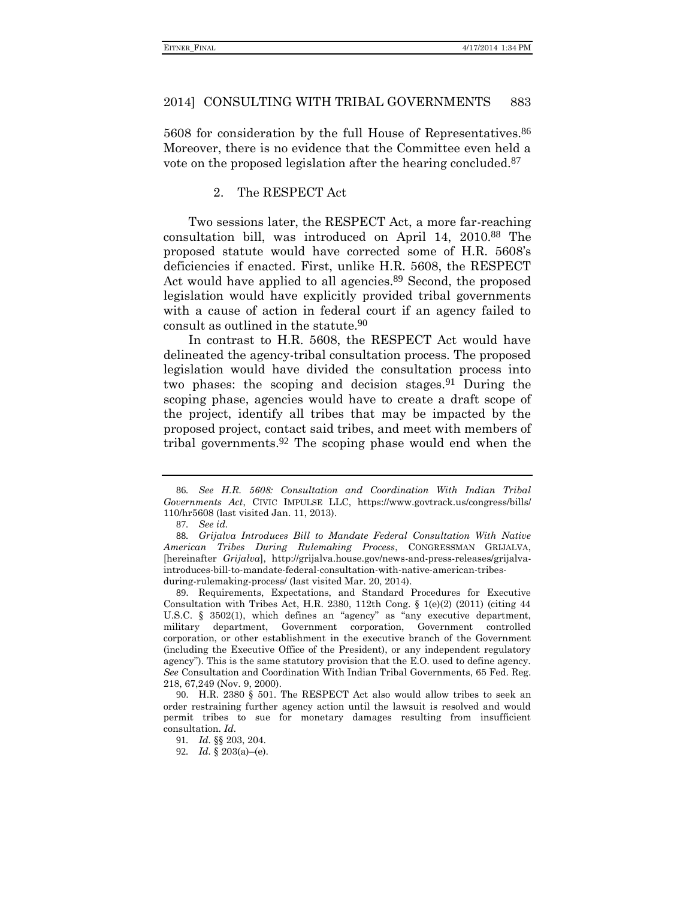5608 for consideration by the full House of Representatives.86 Moreover, there is no evidence that the Committee even held a vote on the proposed legislation after the hearing concluded.87

#### <span id="page-16-0"></span>2. The RESPECT Act

Two sessions later, the RESPECT Act, a more far-reaching consultation bill, was introduced on April 14, 2010.88 The proposed statute would have corrected some of H.R. 5608's deficiencies if enacted. First, unlike H.R. 5608, the RESPECT Act would have applied to all agencies.<sup>89</sup> Second, the proposed legislation would have explicitly provided tribal governments with a cause of action in federal court if an agency failed to consult as outlined in the statute.90

In contrast to H.R. 5608, the RESPECT Act would have delineated the agency-tribal consultation process. The proposed legislation would have divided the consultation process into two phases: the scoping and decision stages.91 During the scoping phase, agencies would have to create a draft scope of the project, identify all tribes that may be impacted by the proposed project, contact said tribes, and meet with members of tribal governments.92 The scoping phase would end when the

<sup>86</sup>*. See H.R. 5608: Consultation and Coordination With Indian Tribal Governments Act*, CIVIC IMPULSE LLC, https://www.govtrack.us/congress/bills/ 110/hr5608 (last visited Jan. 11, 2013).

<sup>87</sup>*. See id.*

<sup>88</sup>*. Grijalva Introduces Bill to Mandate Federal Consultation With Native American Tribes During Rulemaking Process*, CONGRESSMAN GRIJALVA, [hereinafter *Grijalva*], http://grijalva.house.gov/news-and-press-releases/grijalvaintroduces-bill-to-mandate-federal-consultation-with-native-american-tribesduring-rulemaking-process/ (last visited Mar. 20, 2014).

<sup>89</sup>. Requirements, Expectations, and Standard Procedures for Executive Consultation with Tribes Act, H.R. 2380, 112th Cong. § 1(e)(2) (2011) (citing 44 U.S.C. § 3502(1), which defines an "agency" as "any executive department, military department, Government corporation, Government controlled corporation, or other establishment in the executive branch of the Government (including the Executive Office of the President), or any independent regulatory agency"). This is the same statutory provision that the E.O. used to define agency. *See* Consultation and Coordination With Indian Tribal Governments, 65 Fed. Reg. 218, 67,249 (Nov. 9, 2000).

<sup>90</sup>. H.R. 2380 § 501. The RESPECT Act also would allow tribes to seek an order restraining further agency action until the lawsuit is resolved and would permit tribes to sue for monetary damages resulting from insufficient consultation. *Id.*

<sup>91</sup>*. Id.* §§ 203, 204.

<sup>92</sup>*. Id.* § 203(a)–(e).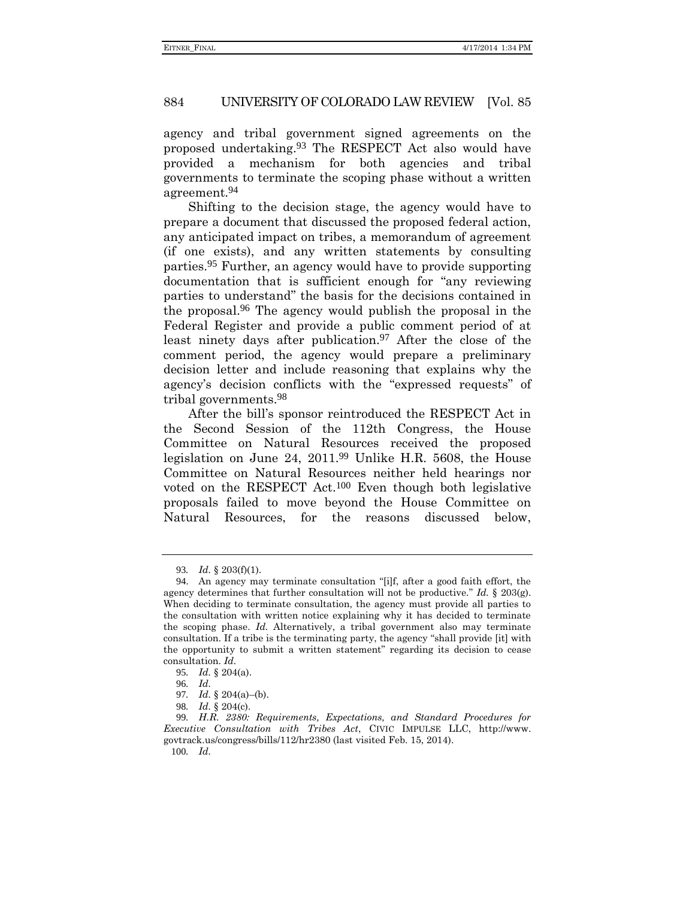agency and tribal government signed agreements on the proposed undertaking.93 The RESPECT Act also would have provided a mechanism for both agencies and tribal governments to terminate the scoping phase without a written agreement.94

Shifting to the decision stage, the agency would have to prepare a document that discussed the proposed federal action, any anticipated impact on tribes, a memorandum of agreement (if one exists), and any written statements by consulting parties.95 Further, an agency would have to provide supporting documentation that is sufficient enough for "any reviewing parties to understand" the basis for the decisions contained in the proposal. 96 The agency would publish the proposal in the Federal Register and provide a public comment period of at least ninety days after publication.97 After the close of the comment period, the agency would prepare a preliminary decision letter and include reasoning that explains why the agency's decision conflicts with the "expressed requests" of tribal governments.98

After the bill's sponsor reintroduced the RESPECT Act in the Second Session of the 112th Congress, the House Committee on Natural Resources received the proposed legislation on June 24, 2011.99 Unlike H.R. 5608, the House Committee on Natural Resources neither held hearings nor voted on the RESPECT Act.100 Even though both legislative proposals failed to move beyond the House Committee on Natural Resources, for the reasons discussed below,

<sup>93</sup>*. Id.* § 203(f)(1).

<sup>94</sup>. An agency may terminate consultation "[i]f, after a good faith effort, the agency determines that further consultation will not be productive." *Id.* § 203(g). When deciding to terminate consultation, the agency must provide all parties to the consultation with written notice explaining why it has decided to terminate the scoping phase. *Id.* Alternatively, a tribal government also may terminate consultation. If a tribe is the terminating party, the agency "shall provide [it] with the opportunity to submit a written statement" regarding its decision to cease consultation. *Id.*

<sup>95</sup>*. Id.* § 204(a).

<sup>96</sup>*. Id.*

<sup>97</sup>*. Id.* § 204(a)–(b).

<sup>98</sup>*. Id.* § 204(c).

<sup>99</sup>*. H.R. 2380: Requirements, Expectations, and Standard Procedures for Executive Consultation with Tribes Act*, CIVIC IMPULSE LLC, http://www. govtrack.us/congress/bills/112/hr2380 (last visited Feb. 15, 2014).

<sup>100</sup>*. Id.*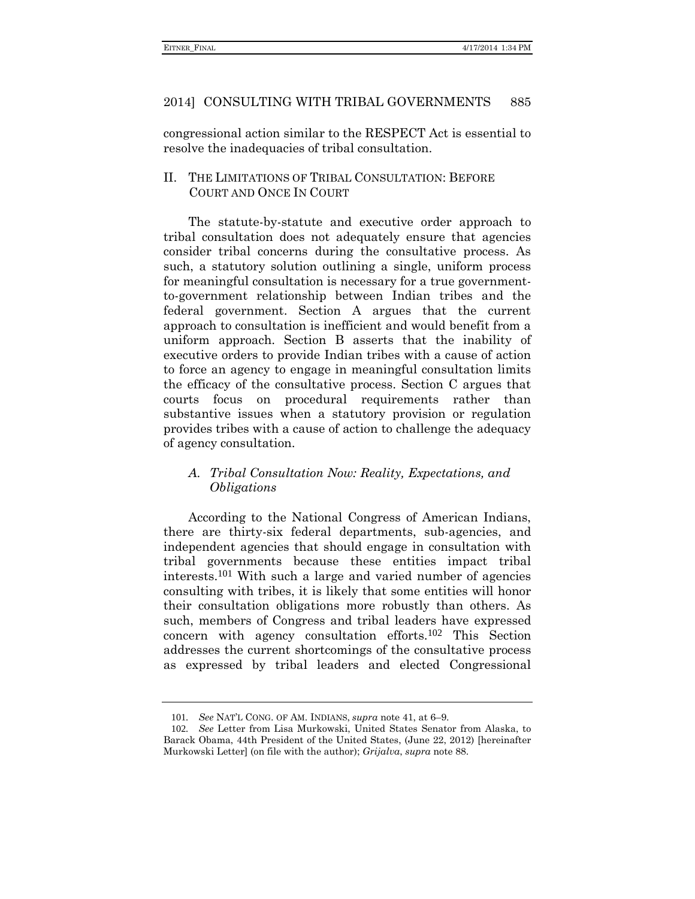congressional action similar to the RESPECT Act is essential to resolve the inadequacies of tribal consultation.

II. THE LIMITATIONS OF TRIBAL CONSULTATION: BEFORE COURT AND ONCE IN COURT

The statute-by-statute and executive order approach to tribal consultation does not adequately ensure that agencies consider tribal concerns during the consultative process. As such, a statutory solution outlining a single, uniform process for meaningful consultation is necessary for a true governmentto-government relationship between Indian tribes and the federal government. Section A argues that the current approach to consultation is inefficient and would benefit from a uniform approach. Section B asserts that the inability of executive orders to provide Indian tribes with a cause of action to force an agency to engage in meaningful consultation limits the efficacy of the consultative process. Section C argues that courts focus on procedural requirements rather than substantive issues when a statutory provision or regulation provides tribes with a cause of action to challenge the adequacy of agency consultation.

### *A. Tribal Consultation Now: Reality, Expectations, and Obligations*

According to the National Congress of American Indians, there are thirty-six federal departments, sub-agencies, and independent agencies that should engage in consultation with tribal governments because these entities impact tribal interests.101 With such a large and varied number of agencies consulting with tribes, it is likely that some entities will honor their consultation obligations more robustly than others. As such, members of Congress and tribal leaders have expressed concern with agency consultation efforts.102 This Section addresses the current shortcomings of the consultative process as expressed by tribal leaders and elected Congressional

<span id="page-18-0"></span><sup>101</sup>*. See* NAT'L CONG. OF AM. INDIANS, *supra* not[e 41,](#page-9-0) at 6–9.

<sup>102</sup>*. See* Letter from Lisa Murkowski, United States Senator from Alaska, to Barack Obama, 44th President of the United States, (June 22, 2012) [hereinafter Murkowski Letter] (on file with the author); *Grijalva*, *supra* note [88.](#page-16-0)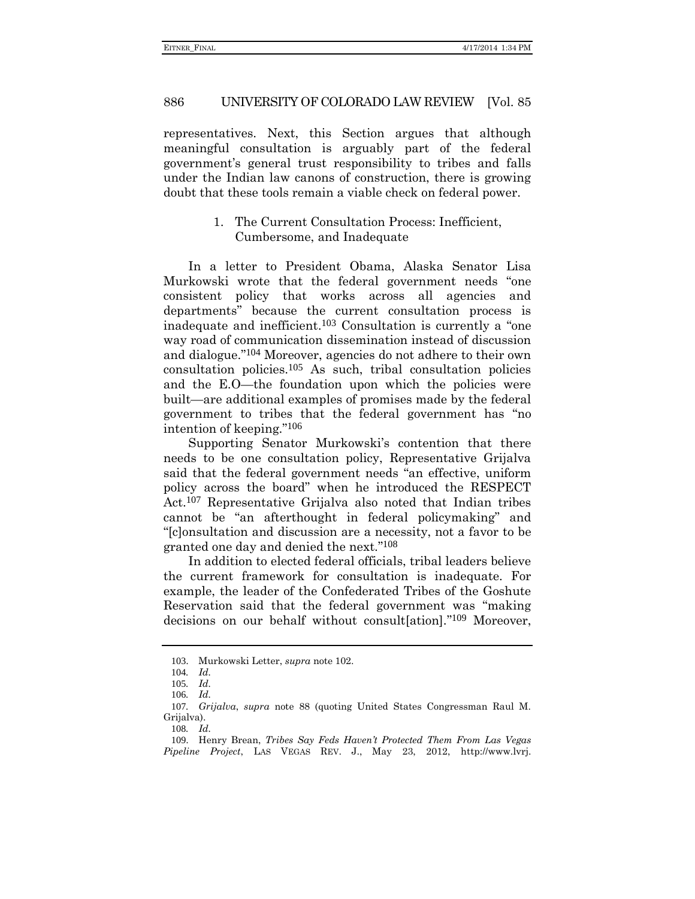#### 886 UNIVERSITY OF COLORADO LAW REVIEW [Vol. 85

representatives. Next, this Section argues that although meaningful consultation is arguably part of the federal government's general trust responsibility to tribes and falls under the Indian law canons of construction, there is growing doubt that these tools remain a viable check on federal power.

### 1. The Current Consultation Process: Inefficient, Cumbersome, and Inadequate

In a letter to President Obama, Alaska Senator Lisa Murkowski wrote that the federal government needs "one consistent policy that works across all agencies and departments" because the current consultation process is inadequate and inefficient.103 Consultation is currently a "one way road of communication dissemination instead of discussion and dialogue." 104 Moreover, agencies do not adhere to their own consultation policies.105 As such, tribal consultation policies and the E.O—the foundation upon which the policies were built—are additional examples of promises made by the federal government to tribes that the federal government has "no intention of keeping." 106

Supporting Senator Murkowski's contention that there needs to be one consultation policy, Representative Grijalva said that the federal government needs "an effective, uniform policy across the board" when he introduced the RESPECT Act.107 Representative Grijalva also noted that Indian tribes cannot be "an afterthought in federal policymaking" and "[c]onsultation and discussion are a necessity, not a favor to be granted one day and denied the next." 108

In addition to elected federal officials, tribal leaders believe the current framework for consultation is inadequate. For example, the leader of the Confederated Tribes of the Goshute Reservation said that the federal government was "making decisions on our behalf without consult[ation]." 109 Moreover,

<sup>103</sup>. Murkowski Letter, *supra* not[e 102.](#page-18-0)

<sup>104</sup>*. Id.*

<sup>105</sup>*. Id.*

<sup>106</sup>*. Id.*

<sup>107</sup>*. Grijalva*, *supra* note 88 (quoting United States Congressman Raul M. Grijalva).

<sup>108</sup>*. Id.*

<sup>109</sup>. Henry Brean, *Tribes Say Feds Haven't Protected Them From Las Vegas Pipeline Project*, LAS VEGAS REV. J., May 23, 2012, http://www.lvrj.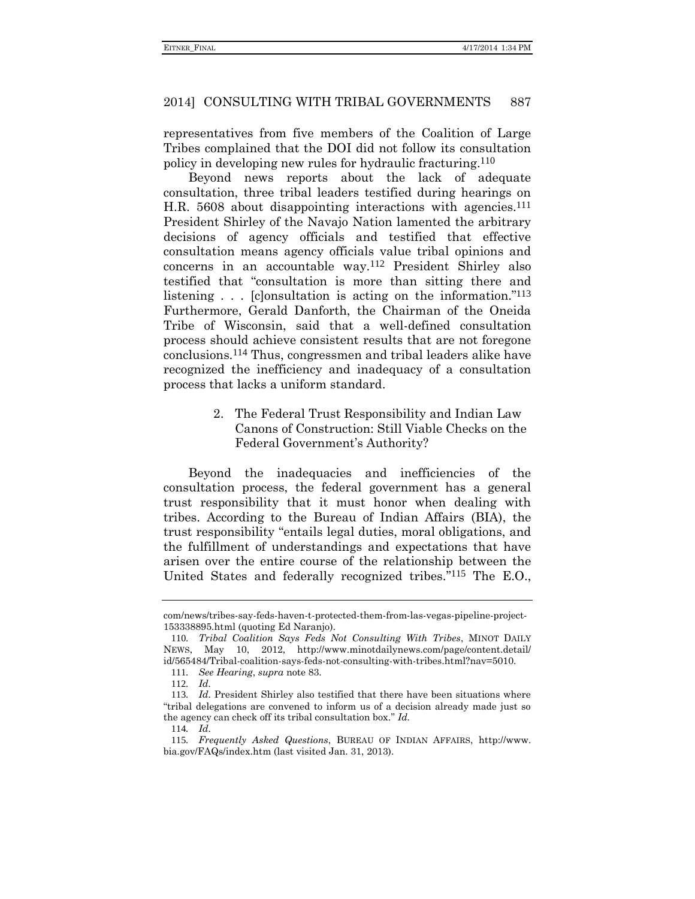representatives from five members of the Coalition of Large Tribes complained that the DOI did not follow its consultation policy in developing new rules for hydraulic fracturing.110

Beyond news reports about the lack of adequate consultation, three tribal leaders testified during hearings on H.R. 5608 about disappointing interactions with agencies.<sup>111</sup> President Shirley of the Navajo Nation lamented the arbitrary decisions of agency officials and testified that effective consultation means agency officials value tribal opinions and concerns in an accountable way.112 President Shirley also testified that "consultation is more than sitting there and listening . . . [c]onsultation is acting on the information."<sup>113</sup> Furthermore, Gerald Danforth, the Chairman of the Oneida Tribe of Wisconsin, said that a well-defined consultation process should achieve consistent results that are not foregone conclusions.114 Thus, congressmen and tribal leaders alike have recognized the inefficiency and inadequacy of a consultation process that lacks a uniform standard.

> 2. The Federal Trust Responsibility and Indian Law Canons of Construction: Still Viable Checks on the Federal Government's Authority?

Beyond the inadequacies and inefficiencies of the consultation process, the federal government has a general trust responsibility that it must honor when dealing with tribes. According to the Bureau of Indian Affairs (BIA), the trust responsibility "entails legal duties, moral obligations, and the fulfillment of understandings and expectations that have arisen over the entire course of the relationship between the United States and federally recognized tribes." 115 The E.O.,

com/news/tribes-say-feds-haven-t-protected-them-from-las-vegas-pipeline-project-153338895.html (quoting Ed Naranjo).

<sup>110</sup>*. Tribal Coalition Says Feds Not Consulting With Tribes*, MINOT DAILY NEWS, May 10, 2012, http://www.minotdailynews.com/page/content.detail/ id/565484/Tribal-coalition-says-feds-not-consulting-with-tribes.html?nav=5010.

<sup>111</sup>*. See Hearing*, *supra* not[e 83.](#page-15-0)

<sup>112</sup>*. Id.*

<sup>113</sup>*. Id.* President Shirley also testified that there have been situations where "tribal delegations are convened to inform us of a decision already made just so the agency can check off its tribal consultation box." *Id.*

<sup>114</sup>*. Id.*

<sup>115</sup>*. Frequently Asked Questions*, BUREAU OF INDIAN AFFAIRS, http://www. bia.gov/FAQs/index.htm (last visited Jan. 31, 2013).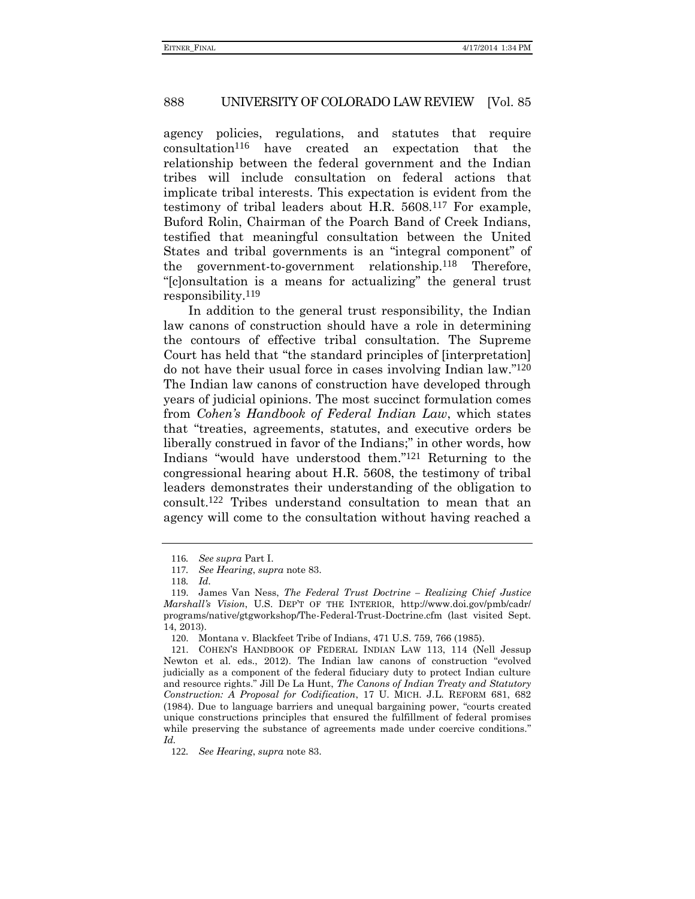agency policies, regulations, and statutes that require consultation116 have created an expectation that the relationship between the federal government and the Indian tribes will include consultation on federal actions that implicate tribal interests. This expectation is evident from the testimony of tribal leaders about H.R. 5608.117 For example, Buford Rolin, Chairman of the Poarch Band of Creek Indians, testified that meaningful consultation between the United States and tribal governments is an "integral component" of the government-to-government relationship.118 Therefore, "[c]onsultation is a means for actualizing" the general trust responsibility.119

In addition to the general trust responsibility, the Indian law canons of construction should have a role in determining the contours of effective tribal consultation. The Supreme Court has held that "the standard principles of [interpretation] do not have their usual force in cases involving Indian law." 120 The Indian law canons of construction have developed through years of judicial opinions. The most succinct formulation comes from *Cohen's Handbook of Federal Indian Law*, which states that "treaties, agreements, statutes, and executive orders be liberally construed in favor of the Indians;" in other words, how Indians "would have understood them." 121 Returning to the congressional hearing about H.R. 5608, the testimony of tribal leaders demonstrates their understanding of the obligation to consult.122 Tribes understand consultation to mean that an agency will come to the consultation without having reached a

<sup>116</sup>*. See supra* Part I.

<sup>117</sup>*. See Hearing*, *supra* note 83.

<sup>118</sup>*. Id.*

<sup>119</sup>. James Van Ness, *The Federal Trust Doctrine – Realizing Chief Justice Marshall's Vision*, U.S. DEP'T OF THE INTERIOR, http://www.doi.gov/pmb/cadr/ programs/native/gtgworkshop/The-Federal-Trust-Doctrine.cfm (last visited Sept. 14, 2013).

<sup>120</sup>. Montana v. Blackfeet Tribe of Indians, 471 U.S. 759, 766 (1985).

<sup>121</sup>. COHEN'S HANDBOOK OF FEDERAL INDIAN LAW 113, 114 (Nell Jessup Newton et al. eds., 2012). The Indian law canons of construction "evolved judicially as a component of the federal fiduciary duty to protect Indian culture and resource rights." Jill De La Hunt, *The Canons of Indian Treaty and Statutory Construction: A Proposal for Codification*, 17 U. MICH. J.L. REFORM 681, 682 (1984). Due to language barriers and unequal bargaining power, "courts created unique constructions principles that ensured the fulfillment of federal promises while preserving the substance of agreements made under coercive conditions." *Id.*

<sup>122</sup>*. See Hearing*, *supra* note 83.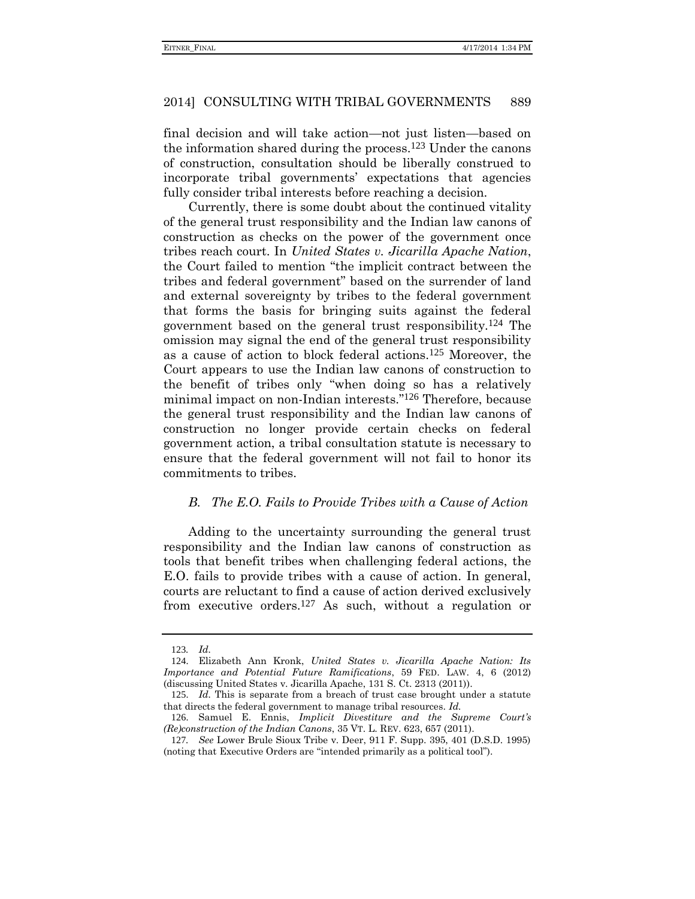final decision and will take action—not just listen—based on the information shared during the process.123 Under the canons of construction, consultation should be liberally construed to incorporate tribal governments' expectations that agencies fully consider tribal interests before reaching a decision.

Currently, there is some doubt about the continued vitality of the general trust responsibility and the Indian law canons of construction as checks on the power of the government once tribes reach court. In *United States v. Jicarilla Apache Nation*, the Court failed to mention "the implicit contract between the tribes and federal government" based on the surrender of land and external sovereignty by tribes to the federal government that forms the basis for bringing suits against the federal government based on the general trust responsibility.124 The omission may signal the end of the general trust responsibility as a cause of action to block federal actions.125 Moreover, the Court appears to use the Indian law canons of construction to the benefit of tribes only "when doing so has a relatively minimal impact on non-Indian interests." 126 Therefore, because the general trust responsibility and the Indian law canons of construction no longer provide certain checks on federal government action, a tribal consultation statute is necessary to ensure that the federal government will not fail to honor its commitments to tribes.

### *B. The E.O. Fails to Provide Tribes with a Cause of Action*

Adding to the uncertainty surrounding the general trust responsibility and the Indian law canons of construction as tools that benefit tribes when challenging federal actions, the E.O. fails to provide tribes with a cause of action. In general, courts are reluctant to find a cause of action derived exclusively from executive orders.127 As such, without a regulation or

<sup>123</sup>*. Id.*

<sup>124</sup>. Elizabeth Ann Kronk, *United States v. Jicarilla Apache Nation: Its Importance and Potential Future Ramifications*, 59 FED. LAW. 4, 6 (2012) (discussing United States v. Jicarilla Apache, 131 S. Ct. 2313 (2011)).

<sup>125</sup>. *Id.* This is separate from a breach of trust case brought under a statute that directs the federal government to manage tribal resources. *Id.*

<sup>126</sup>. Samuel E. Ennis, *Implicit Divestiture and the Supreme Court's (Re)construction of the Indian Canons*, 35 VT. L. REV. 623, 657 (2011).

<sup>127</sup>*. See* Lower Brule Sioux Tribe v. Deer, 911 F. Supp. 395, 401 (D.S.D. 1995) (noting that Executive Orders are "intended primarily as a political tool").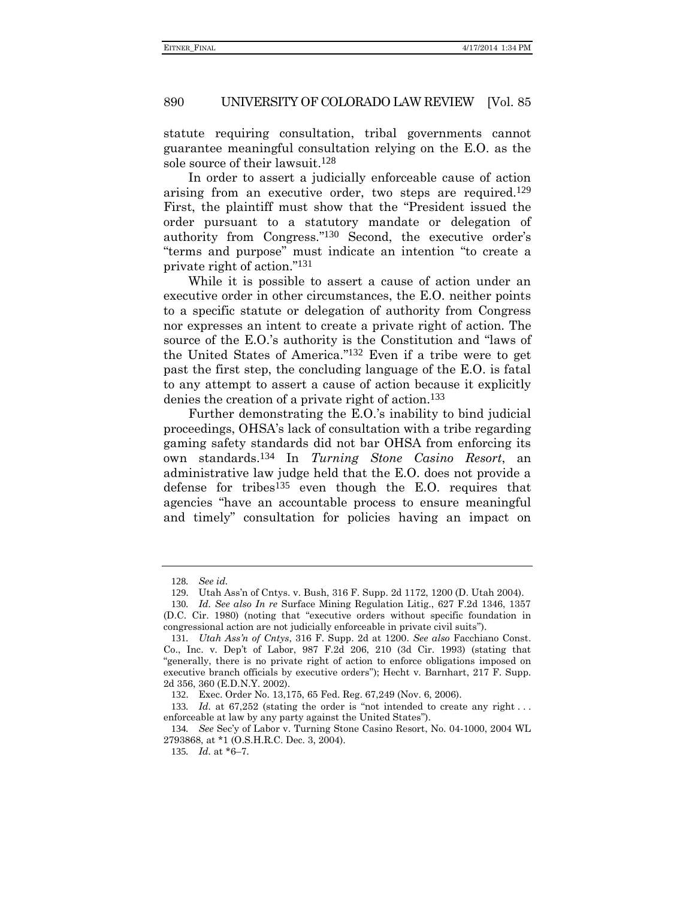statute requiring consultation, tribal governments cannot guarantee meaningful consultation relying on the E.O. as the sole source of their lawsuit.128

In order to assert a judicially enforceable cause of action arising from an executive order, two steps are required.129 First, the plaintiff must show that the "President issued the order pursuant to a statutory mandate or delegation of authority from Congress." 130 Second, the executive order's "terms and purpose" must indicate an intention "to create a private right of action." 131

While it is possible to assert a cause of action under an executive order in other circumstances, the E.O. neither points to a specific statute or delegation of authority from Congress nor expresses an intent to create a private right of action. The source of the E.O.'s authority is the Constitution and "laws of the United States of America." 132 Even if a tribe were to get past the first step, the concluding language of the E.O. is fatal to any attempt to assert a cause of action because it explicitly denies the creation of a private right of action.133

Further demonstrating the E.O.'s inability to bind judicial proceedings, OHSA's lack of consultation with a tribe regarding gaming safety standards did not bar OHSA from enforcing its own standards.134 In *Turning Stone Casino Resort*, an administrative law judge held that the E.O. does not provide a defense for tribes135 even though the E.O. requires that agencies "have an accountable process to ensure meaningful and timely" consultation for policies having an impact on

<sup>128</sup>*. See id.*

<sup>129</sup>. Utah Ass'n of Cntys. v. Bush, 316 F. Supp. 2d 1172, 1200 (D. Utah 2004).

<sup>130</sup>*. Id. See also In re* Surface Mining Regulation Litig., 627 F.2d 1346, 1357 (D.C. Cir. 1980) (noting that "executive orders without specific foundation in congressional action are not judicially enforceable in private civil suits").

<sup>131</sup>*. Utah Ass'n of Cntys*, 316 F. Supp. 2d at 1200. *See also* Facchiano Const. Co., Inc. v. Dep't of Labor, 987 F.2d 206, 210 (3d Cir. 1993) (stating that "generally, there is no private right of action to enforce obligations imposed on executive branch officials by executive orders"); Hecht v. Barnhart, 217 F. Supp. 2d 356, 360 (E.D.N.Y. 2002).

<sup>132</sup>. Exec. Order No. 13,175, 65 Fed. Reg. 67,249 (Nov. 6, 2006).

<sup>133</sup>*. Id.* at 67,252 (stating the order is "not intended to create any right . . . enforceable at law by any party against the United States").

<sup>134</sup>*. See* Sec'y of Labor v. Turning Stone Casino Resort, No. 04-1000, 2004 WL 2793868, at \*1 (O.S.H.R.C. Dec. 3, 2004).

<sup>135</sup>*. Id.* at \*6–7.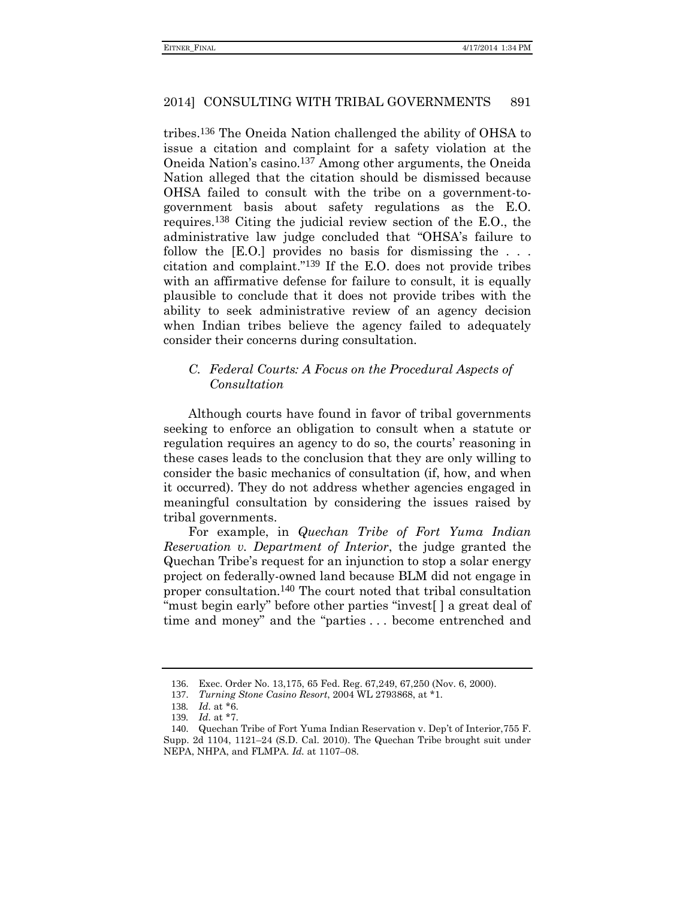tribes.136 The Oneida Nation challenged the ability of OHSA to issue a citation and complaint for a safety violation at the Oneida Nation's casino.137 Among other arguments, the Oneida Nation alleged that the citation should be dismissed because OHSA failed to consult with the tribe on a government-togovernment basis about safety regulations as the E.O. requires.138 Citing the judicial review section of the E.O., the administrative law judge concluded that "OHSA's failure to follow the [E.O.] provides no basis for dismissing the ... citation and complaint." 139 If the E.O. does not provide tribes with an affirmative defense for failure to consult, it is equally plausible to conclude that it does not provide tribes with the ability to seek administrative review of an agency decision when Indian tribes believe the agency failed to adequately consider their concerns during consultation.

# *C. Federal Courts: A Focus on the Procedural Aspects of Consultation*

Although courts have found in favor of tribal governments seeking to enforce an obligation to consult when a statute or regulation requires an agency to do so, the courts' reasoning in these cases leads to the conclusion that they are only willing to consider the basic mechanics of consultation (if, how, and when it occurred). They do not address whether agencies engaged in meaningful consultation by considering the issues raised by tribal governments.

For example, in *Quechan Tribe of Fort Yuma Indian Reservation v. Department of Interior*, the judge granted the Quechan Tribe's request for an injunction to stop a solar energy project on federally-owned land because BLM did not engage in proper consultation.140 The court noted that tribal consultation "must begin early" before other parties "invest[ ] a great deal of time and money" and the "parties . . . become entrenched and

<sup>136</sup>. Exec. Order No. 13,175, 65 Fed. Reg. 67,249, 67,250 (Nov. 6, 2000).

<sup>137</sup>. *Turning Stone Casino Resort*, 2004 WL 2793868, at \*1.

<sup>138</sup>*. Id.* at \*6.

<sup>139</sup>*. Id.* at \*7.

<sup>140</sup>. Quechan Tribe of Fort Yuma Indian Reservation v. Dep't of Interior,755 F. Supp. 2d 1104, 1121–24 (S.D. Cal. 2010). The Quechan Tribe brought suit under NEPA, NHPA, and FLMPA. *Id.* at 1107–08.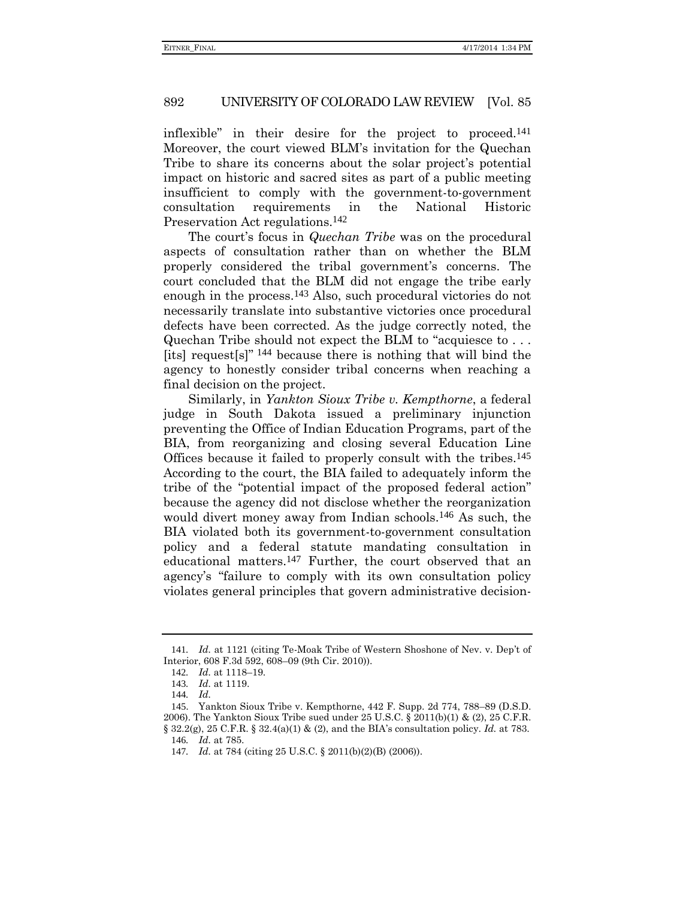inflexible" in their desire for the project to proceed.141 Moreover, the court viewed BLM's invitation for the Quechan Tribe to share its concerns about the solar project's potential impact on historic and sacred sites as part of a public meeting insufficient to comply with the government-to-government consultation requirements in the National Historic Preservation Act regulations.142

The court's focus in *Quechan Tribe* was on the procedural aspects of consultation rather than on whether the BLM properly considered the tribal government's concerns. The court concluded that the BLM did not engage the tribe early enough in the process.143 Also, such procedural victories do not necessarily translate into substantive victories once procedural defects have been corrected. As the judge correctly noted, the Quechan Tribe should not expect the BLM to "acquiesce to . . . [its] request[s]" 144 because there is nothing that will bind the agency to honestly consider tribal concerns when reaching a final decision on the project.

Similarly, in *Yankton Sioux Tribe v. Kempthorne*, a federal judge in South Dakota issued a preliminary injunction preventing the Office of Indian Education Programs, part of the BIA, from reorganizing and closing several Education Line Offices because it failed to properly consult with the tribes.145 According to the court, the BIA failed to adequately inform the tribe of the "potential impact of the proposed federal action" because the agency did not disclose whether the reorganization would divert money away from Indian schools.146 As such, the BIA violated both its government-to-government consultation policy and a federal statute mandating consultation in educational matters.147 Further, the court observed that an agency's "failure to comply with its own consultation policy violates general principles that govern administrative decision-

<sup>141</sup>*. Id.* at 1121 (citing Te-Moak Tribe of Western Shoshone of Nev. v. Dep't of Interior, 608 F.3d 592, 608–09 (9th Cir. 2010)).

<sup>142</sup>*. Id.* at 1118–19.

<sup>143</sup>*. Id.* at 1119.

<sup>144</sup>*. Id.*

<sup>145</sup>. Yankton Sioux Tribe v. Kempthorne, 442 F. Supp. 2d 774, 788–89 (D.S.D. 2006). The Yankton Sioux Tribe sued under  $25 \text{ U.S.C.} \$   $2011(b)(1) \& (2), 25 \text{ C.F.R.}$ § 32.2(g), 25 C.F.R. § 32.4(a)(1) & (2), and the BIA's consultation policy. *Id.* at 783.

<sup>146</sup>*. Id.* at 785.

<sup>147</sup>*. Id.* at 784 (citing 25 U.S.C. § 2011(b)(2)(B) (2006)).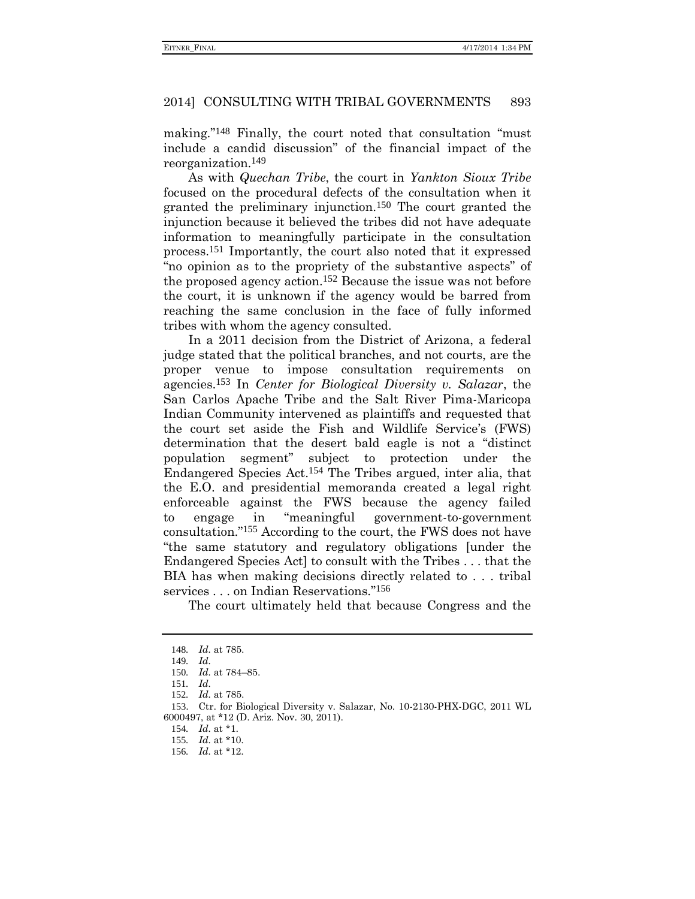making." 148 Finally, the court noted that consultation "must include a candid discussion" of the financial impact of the reorganization.149

As with *Quechan Tribe*, the court in *Yankton Sioux Tribe* focused on the procedural defects of the consultation when it granted the preliminary injunction.150 The court granted the injunction because it believed the tribes did not have adequate information to meaningfully participate in the consultation process.151 Importantly, the court also noted that it expressed "no opinion as to the propriety of the substantive aspects" of the proposed agency action.152 Because the issue was not before the court, it is unknown if the agency would be barred from reaching the same conclusion in the face of fully informed tribes with whom the agency consulted.

In a 2011 decision from the District of Arizona, a federal judge stated that the political branches, and not courts, are the proper venue to impose consultation requirements on agencies.153 In *Center for Biological Diversity v. Salazar*, the San Carlos Apache Tribe and the Salt River Pima-Maricopa Indian Community intervened as plaintiffs and requested that the court set aside the Fish and Wildlife Service's (FWS) determination that the desert bald eagle is not a "distinct population segment" subject to protection under the Endangered Species Act.154 The Tribes argued, inter alia, that the E.O. and presidential memoranda created a legal right enforceable against the FWS because the agency failed to engage in "meaningful government-to-government consultation." 155 According to the court, the FWS does not have "the same statutory and regulatory obligations [under the Endangered Species Act] to consult with the Tribes . . . that the BIA has when making decisions directly related to . . . tribal services . . . on Indian Reservations." 156

The court ultimately held that because Congress and the

<sup>148</sup>*. Id.* at 785.

<sup>149</sup>*. Id.*

<sup>150</sup>*. Id.* at 784–85.

<sup>151</sup>*. Id.*

<sup>152</sup>*. Id.* at 785.

<sup>153</sup>. Ctr. for Biological Diversity v. Salazar, No. 10-2130-PHX-DGC, 2011 WL 6000497, at \*12 (D. Ariz. Nov. 30, 2011).

<sup>154</sup>*. Id.* at \*1.

<sup>155</sup>*. Id.* at \*10.

<sup>156</sup>*. Id.* at \*12.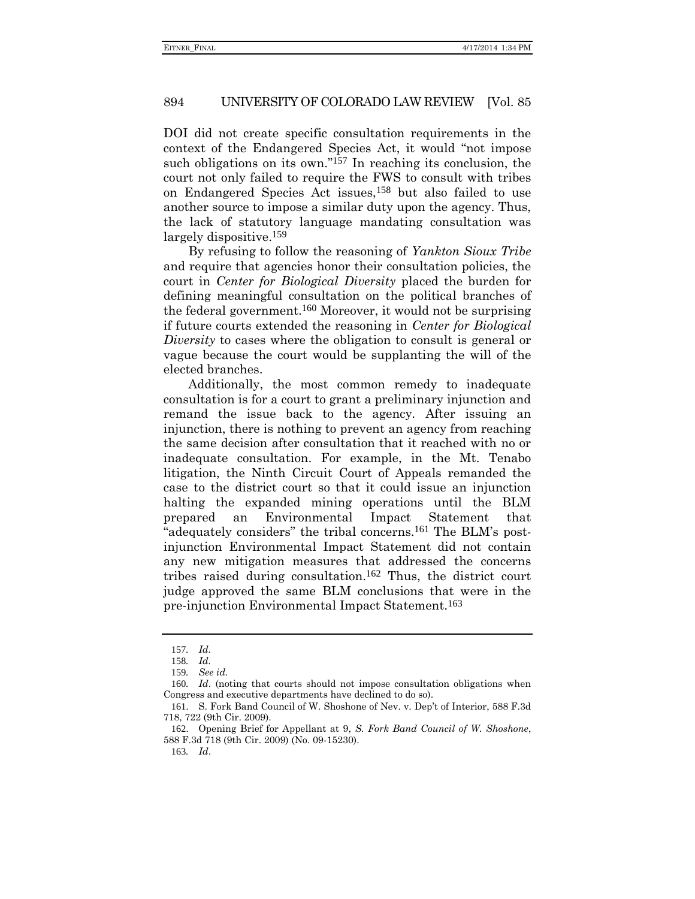DOI did not create specific consultation requirements in the context of the Endangered Species Act, it would "not impose such obligations on its own."<sup>157</sup> In reaching its conclusion, the court not only failed to require the FWS to consult with tribes on Endangered Species Act issues,158 but also failed to use another source to impose a similar duty upon the agency. Thus, the lack of statutory language mandating consultation was largely dispositive.<sup>159</sup>

By refusing to follow the reasoning of *Yankton Sioux Tribe* and require that agencies honor their consultation policies, the court in *Center for Biological Diversity* placed the burden for defining meaningful consultation on the political branches of the federal government.160 Moreover, it would not be surprising if future courts extended the reasoning in *Center for Biological Diversity* to cases where the obligation to consult is general or vague because the court would be supplanting the will of the elected branches.

Additionally, the most common remedy to inadequate consultation is for a court to grant a preliminary injunction and remand the issue back to the agency. After issuing an injunction, there is nothing to prevent an agency from reaching the same decision after consultation that it reached with no or inadequate consultation. For example, in the Mt. Tenabo litigation, the Ninth Circuit Court of Appeals remanded the case to the district court so that it could issue an injunction halting the expanded mining operations until the BLM prepared an Environmental Impact Statement that "adequately considers" the tribal concerns.161 The BLM's postinjunction Environmental Impact Statement did not contain any new mitigation measures that addressed the concerns tribes raised during consultation.162 Thus, the district court judge approved the same BLM conclusions that were in the pre-injunction Environmental Impact Statement.163

<sup>157</sup>*. Id.*

<sup>158</sup>*. Id.*

<sup>159</sup>*. See id.*

<sup>160</sup>*. Id*. (noting that courts should not impose consultation obligations when Congress and executive departments have declined to do so).

<sup>161</sup>. S. Fork Band Council of W. Shoshone of Nev. v. Dep't of Interior, 588 F.3d 718, 722 (9th Cir. 2009).

<sup>162</sup>. Opening Brief for Appellant at 9, *S. Fork Band Council of W. Shoshone*, 588 F.3d 718 (9th Cir. 2009) (No. 09-15230).

<sup>163</sup>*. Id*.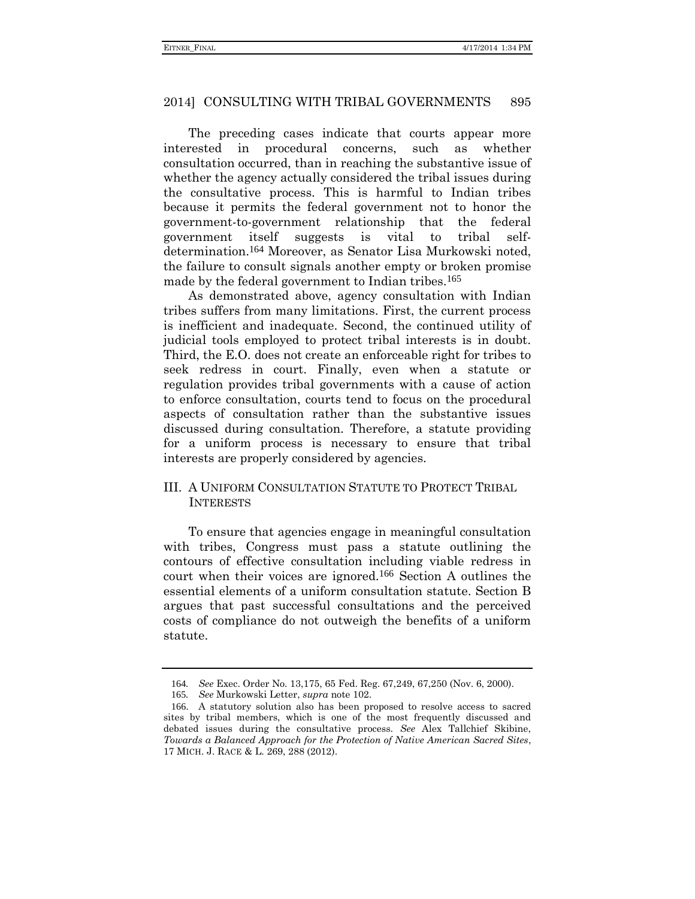The preceding cases indicate that courts appear more interested in procedural concerns, such as whether consultation occurred, than in reaching the substantive issue of whether the agency actually considered the tribal issues during the consultative process. This is harmful to Indian tribes because it permits the federal government not to honor the government-to-government relationship that the federal government itself suggests is vital to tribal selfdetermination.164 Moreover, as Senator Lisa Murkowski noted, the failure to consult signals another empty or broken promise made by the federal government to Indian tribes.<sup>165</sup>

As demonstrated above, agency consultation with Indian tribes suffers from many limitations. First, the current process is inefficient and inadequate. Second, the continued utility of judicial tools employed to protect tribal interests is in doubt. Third, the E.O. does not create an enforceable right for tribes to seek redress in court. Finally, even when a statute or regulation provides tribal governments with a cause of action to enforce consultation, courts tend to focus on the procedural aspects of consultation rather than the substantive issues discussed during consultation. Therefore, a statute providing for a uniform process is necessary to ensure that tribal interests are properly considered by agencies.

### III. A UNIFORM CONSULTATION STATUTE TO PROTECT TRIBAL **INTERESTS**

To ensure that agencies engage in meaningful consultation with tribes, Congress must pass a statute outlining the contours of effective consultation including viable redress in court when their voices are ignored.166 Section A outlines the essential elements of a uniform consultation statute. Section B argues that past successful consultations and the perceived costs of compliance do not outweigh the benefits of a uniform statute.

<sup>164</sup>*. See* Exec. Order No. 13,175, 65 Fed. Reg. 67,249, 67,250 (Nov. 6, 2000).

<sup>165</sup>*. See* Murkowski Letter, *supra* note [102.](#page-18-0)

<sup>166</sup>. A statutory solution also has been proposed to resolve access to sacred sites by tribal members, which is one of the most frequently discussed and debated issues during the consultative process. *See* Alex Tallchief Skibine, *Towards a Balanced Approach for the Protection of Native American Sacred Sites*, 17 MICH. J. RACE & L. 269, 288 (2012).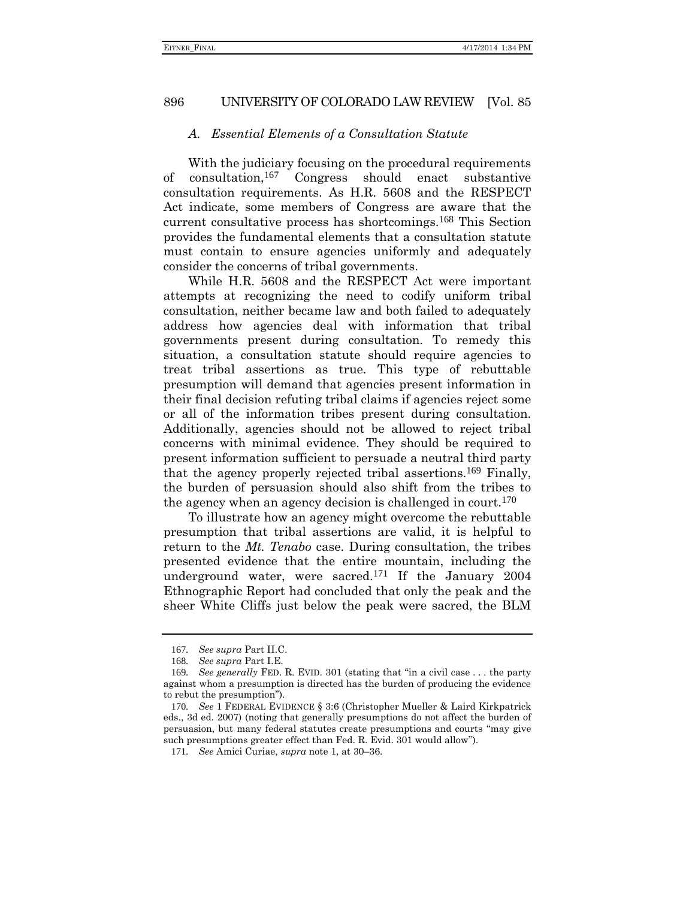### *A. Essential Elements of a Consultation Statute*

With the judiciary focusing on the procedural requirements of consultation,167 Congress should enact substantive consultation requirements. As H.R. 5608 and the RESPECT Act indicate, some members of Congress are aware that the current consultative process has shortcomings.168 This Section provides the fundamental elements that a consultation statute must contain to ensure agencies uniformly and adequately consider the concerns of tribal governments.

While H.R. 5608 and the RESPECT Act were important attempts at recognizing the need to codify uniform tribal consultation, neither became law and both failed to adequately address how agencies deal with information that tribal governments present during consultation. To remedy this situation, a consultation statute should require agencies to treat tribal assertions as true. This type of rebuttable presumption will demand that agencies present information in their final decision refuting tribal claims if agencies reject some or all of the information tribes present during consultation. Additionally, agencies should not be allowed to reject tribal concerns with minimal evidence. They should be required to present information sufficient to persuade a neutral third party that the agency properly rejected tribal assertions.169 Finally, the burden of persuasion should also shift from the tribes to the agency when an agency decision is challenged in court.<sup>170</sup>

To illustrate how an agency might overcome the rebuttable presumption that tribal assertions are valid, it is helpful to return to the *Mt. Tenabo* case. During consultation, the tribes presented evidence that the entire mountain, including the underground water, were sacred.171 If the January 2004 Ethnographic Report had concluded that only the peak and the sheer White Cliffs just below the peak were sacred, the BLM

<sup>167</sup>*. See supra* Part II.C.

<sup>168</sup>*. See supra* Part I.E.

<sup>169</sup>*. See generally* FED. R. EVID. 301 (stating that "in a civil case . . . the party against whom a presumption is directed has the burden of producing the evidence to rebut the presumption").

<sup>170</sup>*. See* 1 FEDERAL EVIDENCE § 3:6 (Christopher Mueller & Laird Kirkpatrick eds., 3d ed. 2007) (noting that generally presumptions do not affect the burden of persuasion, but many federal statutes create presumptions and courts "may give such presumptions greater effect than Fed. R. Evid. 301 would allow").

<sup>171</sup>*. See* Amici Curiae, *supra* note [1,](#page-0-0) at 30–36.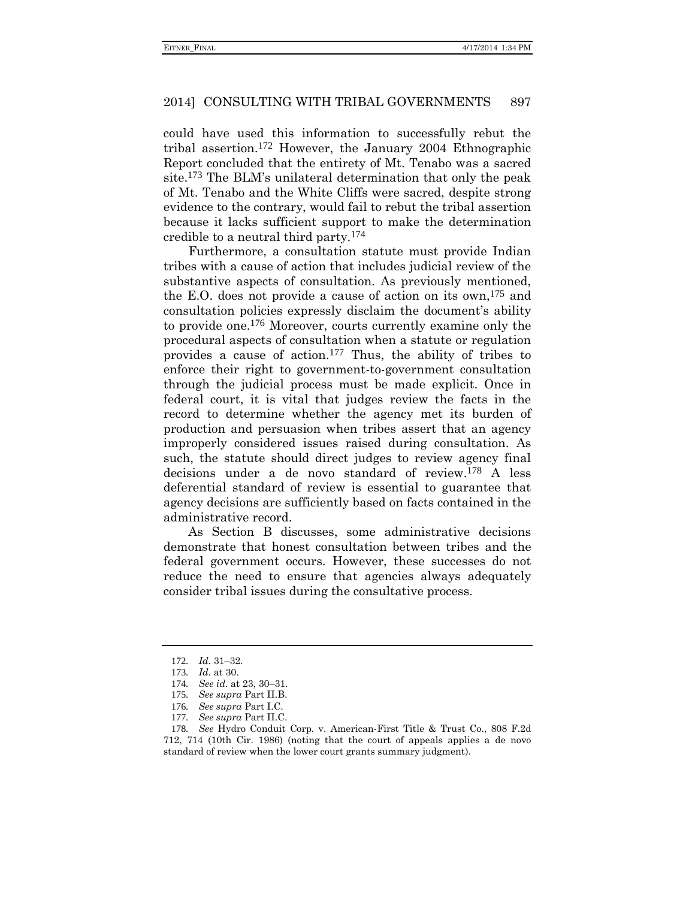could have used this information to successfully rebut the tribal assertion.172 However, the January 2004 Ethnographic Report concluded that the entirety of Mt. Tenabo was a sacred site.173 The BLM's unilateral determination that only the peak of Mt. Tenabo and the White Cliffs were sacred, despite strong evidence to the contrary, would fail to rebut the tribal assertion because it lacks sufficient support to make the determination credible to a neutral third party.174

Furthermore, a consultation statute must provide Indian tribes with a cause of action that includes judicial review of the substantive aspects of consultation. As previously mentioned, the E.O. does not provide a cause of action on its own,  $175$  and consultation policies expressly disclaim the document's ability to provide one.176 Moreover, courts currently examine only the procedural aspects of consultation when a statute or regulation provides a cause of action.177 Thus, the ability of tribes to enforce their right to government-to-government consultation through the judicial process must be made explicit. Once in federal court, it is vital that judges review the facts in the record to determine whether the agency met its burden of production and persuasion when tribes assert that an agency improperly considered issues raised during consultation. As such, the statute should direct judges to review agency final decisions under a de novo standard of review.178 A less deferential standard of review is essential to guarantee that agency decisions are sufficiently based on facts contained in the administrative record.

As Section B discusses, some administrative decisions demonstrate that honest consultation between tribes and the federal government occurs. However, these successes do not reduce the need to ensure that agencies always adequately consider tribal issues during the consultative process.

- 175*. See supra* Part II.B.
- 176*. See supra* Part I.C.
- 177*. See supra* Part II.C.

<sup>172</sup>*. Id.* 31–32.

<sup>173</sup>*. Id.* at 30.

<sup>174</sup>*. See id*. at 23, 30–31.

<sup>178</sup>*. See* Hydro Conduit Corp. v. American-First Title & Trust Co., 808 F.2d 712, 714 (10th Cir. 1986) (noting that the court of appeals applies a de novo standard of review when the lower court grants summary judgment).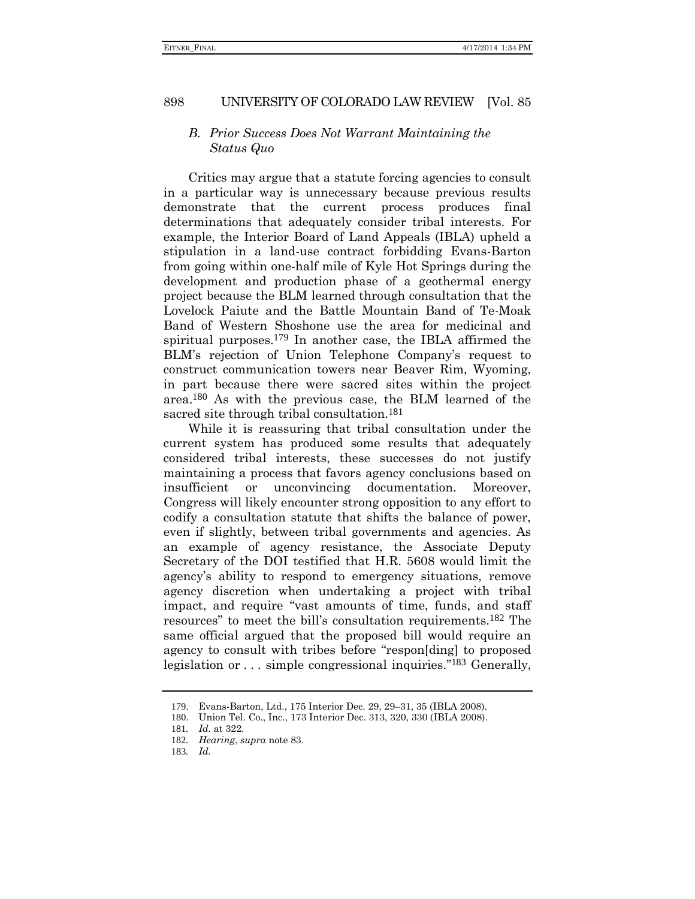### *B. Prior Success Does Not Warrant Maintaining the Status Quo*

Critics may argue that a statute forcing agencies to consult in a particular way is unnecessary because previous results demonstrate that the current process produces final determinations that adequately consider tribal interests. For example, the Interior Board of Land Appeals (IBLA) upheld a stipulation in a land-use contract forbidding Evans-Barton from going within one-half mile of Kyle Hot Springs during the development and production phase of a geothermal energy project because the BLM learned through consultation that the Lovelock Paiute and the Battle Mountain Band of Te-Moak Band of Western Shoshone use the area for medicinal and spiritual purposes.179 In another case, the IBLA affirmed the BLM's rejection of Union Telephone Company's request to construct communication towers near Beaver Rim, Wyoming, in part because there were sacred sites within the project area.180 As with the previous case, the BLM learned of the sacred site through tribal consultation.<sup>181</sup>

While it is reassuring that tribal consultation under the current system has produced some results that adequately considered tribal interests, these successes do not justify maintaining a process that favors agency conclusions based on insufficient or unconvincing documentation. Moreover, Congress will likely encounter strong opposition to any effort to codify a consultation statute that shifts the balance of power, even if slightly, between tribal governments and agencies. As an example of agency resistance, the Associate Deputy Secretary of the DOI testified that H.R. 5608 would limit the agency's ability to respond to emergency situations, remove agency discretion when undertaking a project with tribal impact, and require "vast amounts of time, funds, and staff resources" to meet the bill's consultation requirements.182 The same official argued that the proposed bill would require an agency to consult with tribes before "respon[ding] to proposed legislation or . . . simple congressional inquiries."<sup>183</sup> Generally,

<sup>179</sup>. Evans-Barton, Ltd., 175 Interior Dec. 29, 29–31, 35 (IBLA 2008).

<sup>180</sup>. Union Tel. Co., Inc., 173 Interior Dec. 313, 320, 330 (IBLA 2008).

<sup>181</sup>*. Id.* at 322.

<sup>182</sup>*. Hearing*, *supra* note [83.](#page-15-0)

<sup>183</sup>*. Id.*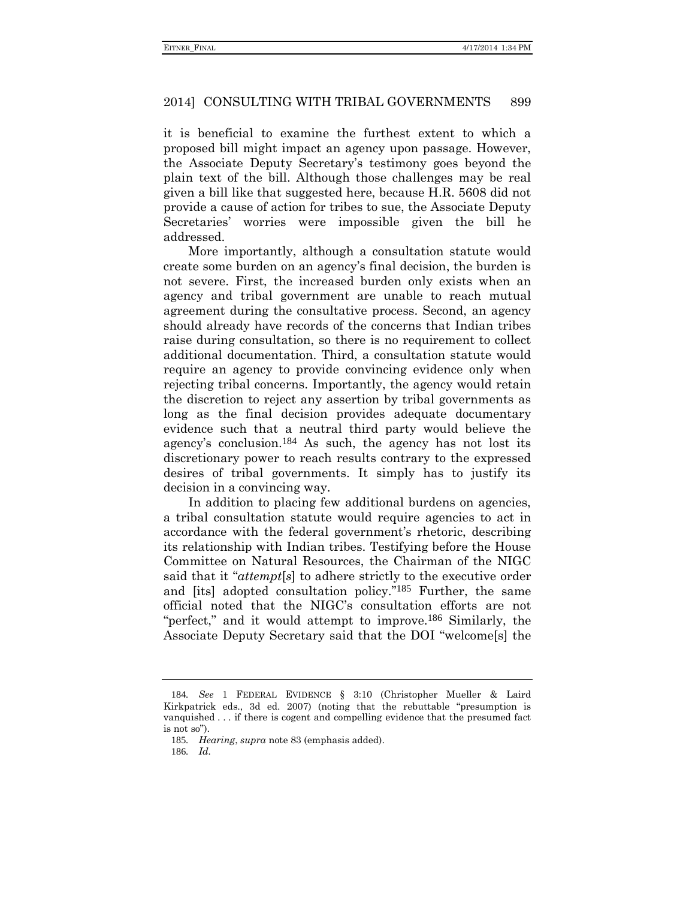it is beneficial to examine the furthest extent to which a proposed bill might impact an agency upon passage. However, the Associate Deputy Secretary's testimony goes beyond the plain text of the bill. Although those challenges may be real given a bill like that suggested here, because H.R. 5608 did not provide a cause of action for tribes to sue, the Associate Deputy Secretaries' worries were impossible given the bill he addressed.

More importantly, although a consultation statute would create some burden on an agency's final decision, the burden is not severe. First, the increased burden only exists when an agency and tribal government are unable to reach mutual agreement during the consultative process. Second, an agency should already have records of the concerns that Indian tribes raise during consultation, so there is no requirement to collect additional documentation. Third, a consultation statute would require an agency to provide convincing evidence only when rejecting tribal concerns. Importantly, the agency would retain the discretion to reject any assertion by tribal governments as long as the final decision provides adequate documentary evidence such that a neutral third party would believe the agency's conclusion.184 As such, the agency has not lost its discretionary power to reach results contrary to the expressed desires of tribal governments. It simply has to justify its decision in a convincing way.

In addition to placing few additional burdens on agencies, a tribal consultation statute would require agencies to act in accordance with the federal government's rhetoric, describing its relationship with Indian tribes. Testifying before the House Committee on Natural Resources, the Chairman of the NIGC said that it "*attempt*[*s*] to adhere strictly to the executive order and [its] adopted consultation policy." 185 Further, the same official noted that the NIGC's consultation efforts are not "perfect," and it would attempt to improve.<sup>186</sup> Similarly, the Associate Deputy Secretary said that the DOI "welcome[s] the

<sup>184</sup>*. See* 1 FEDERAL EVIDENCE § 3:10 (Christopher Mueller & Laird Kirkpatrick eds., 3d ed. 2007) (noting that the rebuttable "presumption is vanquished . . . if there is cogent and compelling evidence that the presumed fact is not so").

<sup>185</sup>*. Hearing*, *supra* note [83](#page-15-0) (emphasis added).

<sup>186</sup>*. Id.*